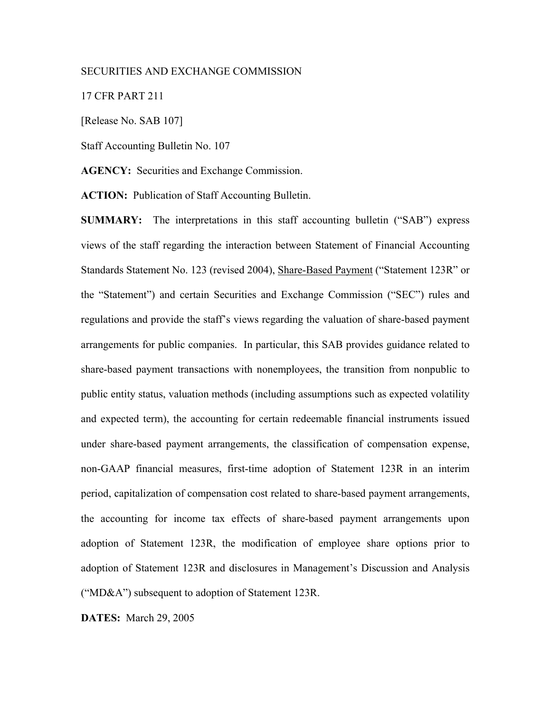## SECURITIES AND EXCHANGE COMMISSION

17 CFR PART 211

[Release No. SAB 107]

Staff Accounting Bulletin No. 107

**AGENCY:** Securities and Exchange Commission.

**ACTION:** Publication of Staff Accounting Bulletin.

**SUMMARY:** The interpretations in this staff accounting bulletin ("SAB") express views of the staff regarding the interaction between Statement of Financial Accounting Standards Statement No. 123 (revised 2004), Share-Based Payment ("Statement 123R" or the "Statement") and certain Securities and Exchange Commission ("SEC") rules and regulations and provide the staff's views regarding the valuation of share-based payment arrangements for public companies. In particular, this SAB provides guidance related to share-based payment transactions with nonemployees, the transition from nonpublic to public entity status, valuation methods (including assumptions such as expected volatility and expected term), the accounting for certain redeemable financial instruments issued under share-based payment arrangements, the classification of compensation expense, non-GAAP financial measures, first-time adoption of Statement 123R in an interim period, capitalization of compensation cost related to share-based payment arrangements, the accounting for income tax effects of share-based payment arrangements upon adoption of Statement 123R, the modification of employee share options prior to adoption of Statement 123R and disclosures in Management's Discussion and Analysis ("MD&A") subsequent to adoption of Statement 123R.

**DATES:** March 29, 2005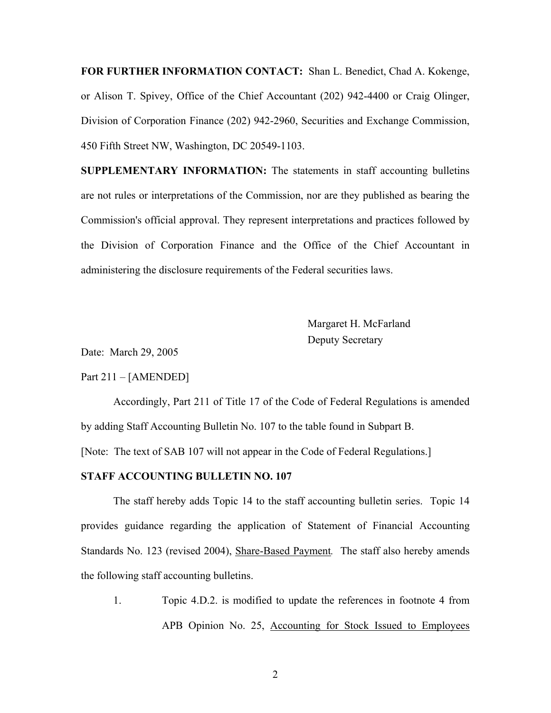**FOR FURTHER INFORMATION CONTACT:** Shan L. Benedict, Chad A. Kokenge, or Alison T. Spivey, Office of the Chief Accountant (202) 942-4400 or Craig Olinger, Division of Corporation Finance (202) 942-2960, Securities and Exchange Commission, 450 Fifth Street NW, Washington, DC 20549-1103.

**SUPPLEMENTARY INFORMATION:** The statements in staff accounting bulletins are not rules or interpretations of the Commission, nor are they published as bearing the Commission's official approval. They represent interpretations and practices followed by the Division of Corporation Finance and the Office of the Chief Accountant in administering the disclosure requirements of the Federal securities laws.

> Margaret H. McFarland Deputy Secretary

Date: March 29, 2005

## Part 211 – [AMENDED]

Accordingly, Part 211 of Title 17 of the Code of Federal Regulations is amended by adding Staff Accounting Bulletin No. 107 to the table found in Subpart B. [Note: The text of SAB 107 will not appear in the Code of Federal Regulations.]

#### **STAFF ACCOUNTING BULLETIN NO. 107**

The staff hereby adds Topic 14 to the staff accounting bulletin series. Topic 14 provides guidance regarding the application of Statement of Financial Accounting Standards No. 123 (revised 2004), Share-Based Payment*.* The staff also hereby amends the following staff accounting bulletins.

1. Topic 4.D.2. is modified to update the references in footnote 4 from APB Opinion No. 25, Accounting for Stock Issued to Employees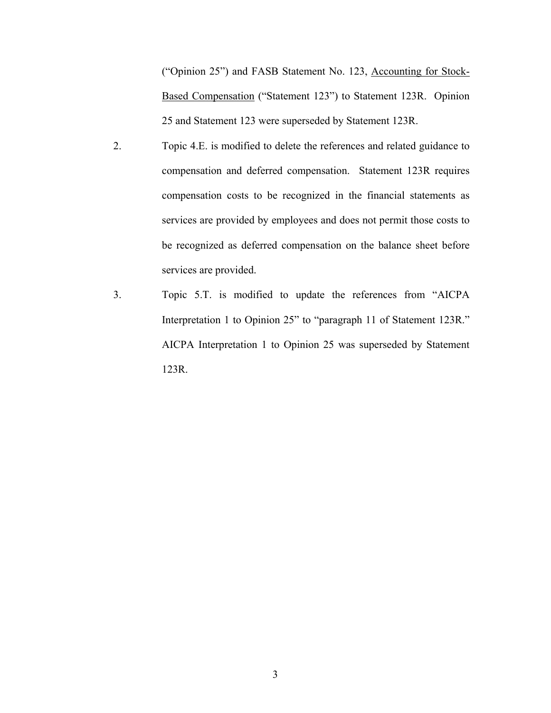("Opinion 25") and FASB Statement No. 123, Accounting for Stock-Based Compensation ("Statement 123") to Statement 123R. Opinion 25 and Statement 123 were superseded by Statement 123R.

- 2. Topic 4.E. is modified to delete the references and related guidance to compensation and deferred compensation. Statement 123R requires compensation costs to be recognized in the financial statements as services are provided by employees and does not permit those costs to be recognized as deferred compensation on the balance sheet before services are provided.
- 3. Topic 5.T. is modified to update the references from "AICPA Interpretation 1 to Opinion 25" to "paragraph 11 of Statement 123R." AICPA Interpretation 1 to Opinion 25 was superseded by Statement 123R.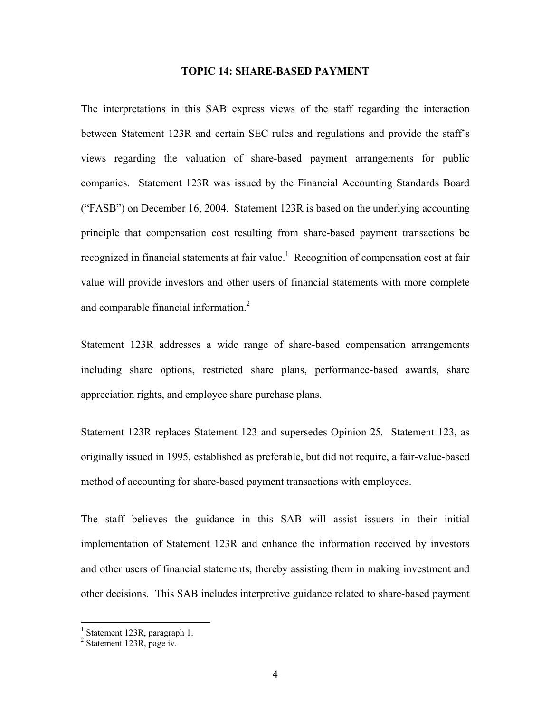#### **TOPIC 14: SHARE-BASED PAYMENT**

The interpretations in this SAB express views of the staff regarding the interaction between Statement 123R and certain SEC rules and regulations and provide the staff's views regarding the valuation of share-based payment arrangements for public companies. Statement 123R was issued by the Financial Accounting Standards Board ("FASB") on December 16, 2004. Statement 123R is based on the underlying accounting principle that compensation cost resulting from share-based payment transactions be recognized in financial statements at fair value.<sup>1</sup> Recognition of compensation cost at fair value will provide investors and other users of financial statements with more complete and comparable financial information.<sup>2</sup>

Statement 123R addresses a wide range of share-based compensation arrangements including share options, restricted share plans, performance-based awards, share appreciation rights, and employee share purchase plans.

Statement 123R replaces Statement 123 and supersedes Opinion 25*.* Statement 123, as originally issued in 1995, established as preferable, but did not require, a fair-value-based method of accounting for share-based payment transactions with employees.

The staff believes the guidance in this SAB will assist issuers in their initial implementation of Statement 123R and enhance the information received by investors and other users of financial statements, thereby assisting them in making investment and other decisions. This SAB includes interpretive guidance related to share-based payment

<sup>&</sup>lt;sup>1</sup> Statement 123R, paragraph 1.

<sup>2</sup> Statement 123R, page iv.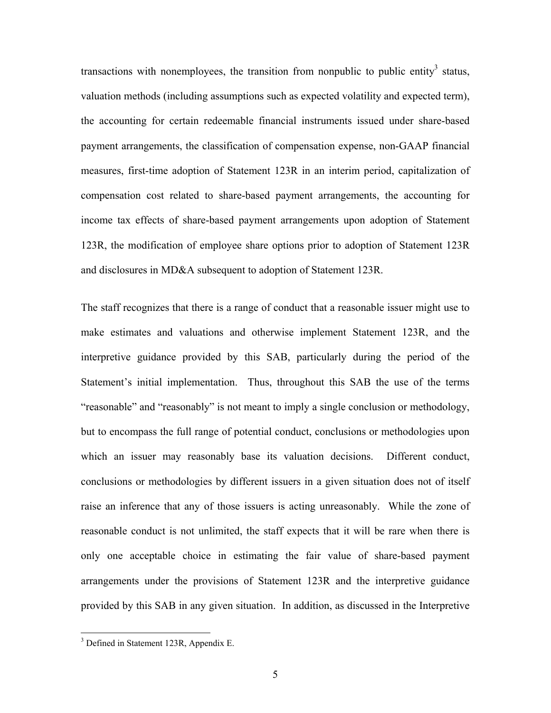transactions with nonemployees, the transition from nonpublic to public entity<sup>3</sup> status, valuation methods (including assumptions such as expected volatility and expected term), the accounting for certain redeemable financial instruments issued under share-based payment arrangements, the classification of compensation expense, non-GAAP financial measures, first-time adoption of Statement 123R in an interim period, capitalization of compensation cost related to share-based payment arrangements, the accounting for income tax effects of share-based payment arrangements upon adoption of Statement 123R, the modification of employee share options prior to adoption of Statement 123R and disclosures in MD&A subsequent to adoption of Statement 123R.

The staff recognizes that there is a range of conduct that a reasonable issuer might use to make estimates and valuations and otherwise implement Statement 123R, and the interpretive guidance provided by this SAB, particularly during the period of the Statement's initial implementation. Thus, throughout this SAB the use of the terms "reasonable" and "reasonably" is not meant to imply a single conclusion or methodology, but to encompass the full range of potential conduct, conclusions or methodologies upon which an issuer may reasonably base its valuation decisions. Different conduct, conclusions or methodologies by different issuers in a given situation does not of itself raise an inference that any of those issuers is acting unreasonably. While the zone of reasonable conduct is not unlimited, the staff expects that it will be rare when there is only one acceptable choice in estimating the fair value of share-based payment arrangements under the provisions of Statement 123R and the interpretive guidance provided by this SAB in any given situation. In addition, as discussed in the Interpretive

1

<sup>&</sup>lt;sup>3</sup> Defined in Statement 123R, Appendix E.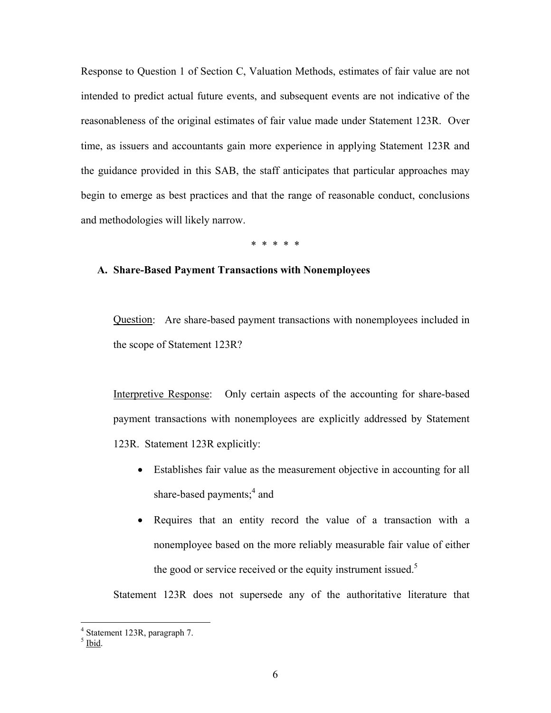Response to Question 1 of Section C, Valuation Methods, estimates of fair value are not intended to predict actual future events, and subsequent events are not indicative of the reasonableness of the original estimates of fair value made under Statement 123R. Over time, as issuers and accountants gain more experience in applying Statement 123R and the guidance provided in this SAB, the staff anticipates that particular approaches may begin to emerge as best practices and that the range of reasonable conduct, conclusions and methodologies will likely narrow.

\* \* \* \* \*

## **A. Share-Based Payment Transactions with Nonemployees**

Question: Are share-based payment transactions with nonemployees included in the scope of Statement 123R?

Interpretive Response: Only certain aspects of the accounting for share-based payment transactions with nonemployees are explicitly addressed by Statement 123R. Statement 123R explicitly:

- Establishes fair value as the measurement objective in accounting for all share-based payments;<sup>4</sup> and
- Requires that an entity record the value of a transaction with a nonemployee based on the more reliably measurable fair value of either the good or service received or the equity instrument issued.<sup>5</sup>

Statement 123R does not supersede any of the authoritative literature that

 $<sup>5</sup>$  Ibid.</sup>

<sup>4</sup> Statement 123R, paragraph 7.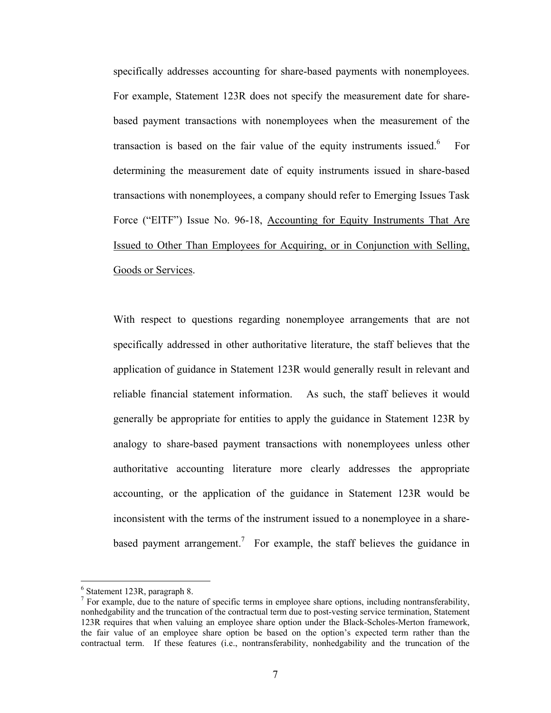specifically addresses accounting for share-based payments with nonemployees. For example, Statement 123R does not specify the measurement date for sharebased payment transactions with nonemployees when the measurement of the transaction is based on the fair value of the equity instruments issued.<sup>6</sup> For determining the measurement date of equity instruments issued in share-based transactions with nonemployees, a company should refer to Emerging Issues Task Force ("EITF") Issue No. 96-18, Accounting for Equity Instruments That Are Issued to Other Than Employees for Acquiring, or in Conjunction with Selling, Goods or Services.

With respect to questions regarding nonemployee arrangements that are not specifically addressed in other authoritative literature, the staff believes that the application of guidance in Statement 123R would generally result in relevant and reliable financial statement information. As such, the staff believes it would generally be appropriate for entities to apply the guidance in Statement 123R by analogy to share-based payment transactions with nonemployees unless other authoritative accounting literature more clearly addresses the appropriate accounting, or the application of the guidance in Statement 123R would be inconsistent with the terms of the instrument issued to a nonemployee in a sharebased payment arrangement.<sup>7</sup> For example, the staff believes the guidance in

 6 Statement 123R, paragraph 8.

 $<sup>7</sup>$  For example, due to the nature of specific terms in employee share options, including nontransferability,</sup> nonhedgability and the truncation of the contractual term due to post-vesting service termination, Statement 123R requires that when valuing an employee share option under the Black-Scholes-Merton framework, the fair value of an employee share option be based on the option's expected term rather than the contractual term. If these features (i.e., nontransferability, nonhedgability and the truncation of the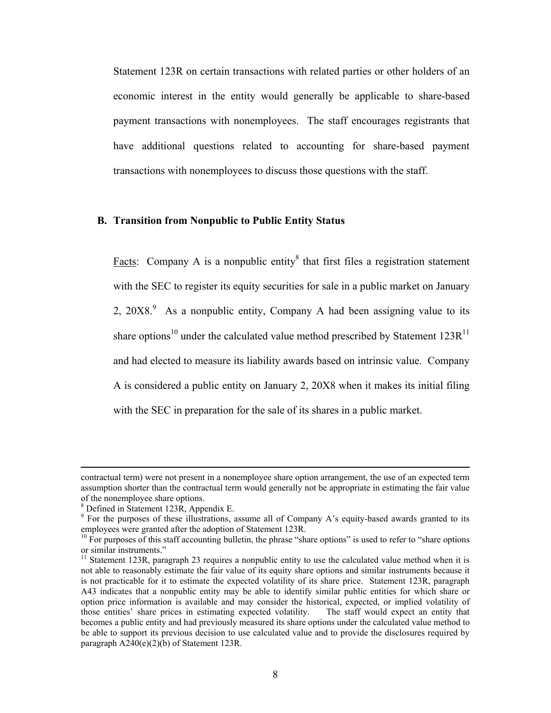Statement 123R on certain transactions with related parties or other holders of an economic interest in the entity would generally be applicable to share-based payment transactions with nonemployees. The staff encourages registrants that have additional questions related to accounting for share-based payment transactions with nonemployees to discuss those questions with the staff.

## **B. Transition from Nonpublic to Public Entity Status**

Facts: Company A is a nonpublic entity<sup>8</sup> that first files a registration statement with the SEC to register its equity securities for sale in a public market on January 2,  $20X8$ .<sup>9</sup> As a nonpublic entity, Company A had been assigning value to its share options<sup>10</sup> under the calculated value method prescribed by Statement  $123R<sup>11</sup>$ and had elected to measure its liability awards based on intrinsic value. Company A is considered a public entity on January 2, 20X8 when it makes its initial filing with the SEC in preparation for the sale of its shares in a public market.

contractual term) were not present in a nonemployee share option arrangement, the use of an expected term assumption shorter than the contractual term would generally not be appropriate in estimating the fair value of the nonemployee share options.

<sup>8</sup> Defined in Statement 123R, Appendix E.

<sup>&</sup>lt;sup>9</sup> For the purposes of these illustrations, assume all of Company A's equity-based awards granted to its employees were granted after the adoption of Statement 123R.<br><sup>10</sup> For purposes of this staff accounting bulletin, the phrase "share options" is used to refer to "share options"

or similar instruments."

 $11$  Statement 123R, paragraph 23 requires a nonpublic entity to use the calculated value method when it is not able to reasonably estimate the fair value of its equity share options and similar instruments because it is not practicable for it to estimate the expected volatility of its share price. Statement 123R, paragraph A43 indicates that a nonpublic entity may be able to identify similar public entities for which share or option price information is available and may consider the historical, expected, or implied volatility of those entities' share prices in estimating expected volatility. The staff would expect an entity that becomes a public entity and had previously measured its share options under the calculated value method to be able to support its previous decision to use calculated value and to provide the disclosures required by paragraph A240(e)(2)(b) of Statement 123R.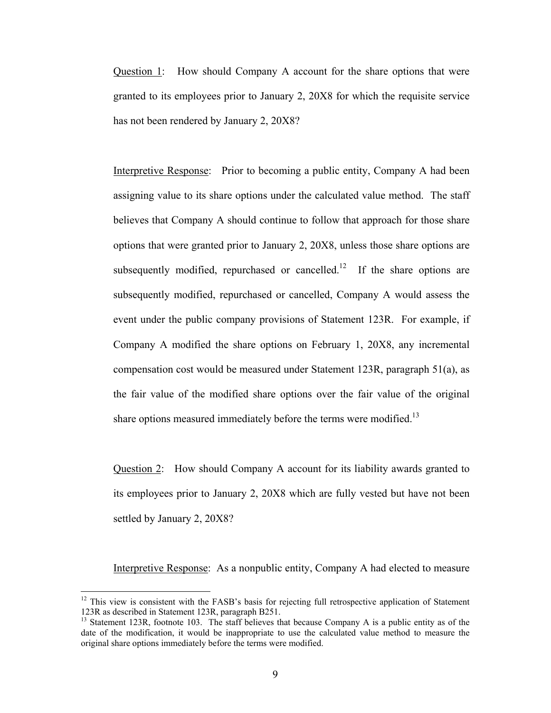Question 1: How should Company A account for the share options that were granted to its employees prior to January 2, 20X8 for which the requisite service has not been rendered by January 2, 20X8?

Interpretive Response: Prior to becoming a public entity, Company A had been assigning value to its share options under the calculated value method. The staff believes that Company A should continue to follow that approach for those share options that were granted prior to January 2, 20X8, unless those share options are subsequently modified, repurchased or cancelled.<sup>12</sup> If the share options are subsequently modified, repurchased or cancelled, Company A would assess the event under the public company provisions of Statement 123R. For example, if Company A modified the share options on February 1, 20X8, any incremental compensation cost would be measured under Statement 123R, paragraph 51(a), as the fair value of the modified share options over the fair value of the original share options measured immediately before the terms were modified.<sup>13</sup>

Question 2: How should Company A account for its liability awards granted to its employees prior to January 2, 20X8 which are fully vested but have not been settled by January 2, 20X8?

Interpretive Response: As a nonpublic entity, Company A had elected to measure

 $12$  This view is consistent with the FASB's basis for rejecting full retrospective application of Statement 123R as described in Statement 123R, paragraph B251.

<sup>&</sup>lt;sup>13</sup> Statement 123R, footnote 103. The staff believes that because Company A is a public entity as of the date of the modification, it would be inappropriate to use the calculated value method to measure the original share options immediately before the terms were modified.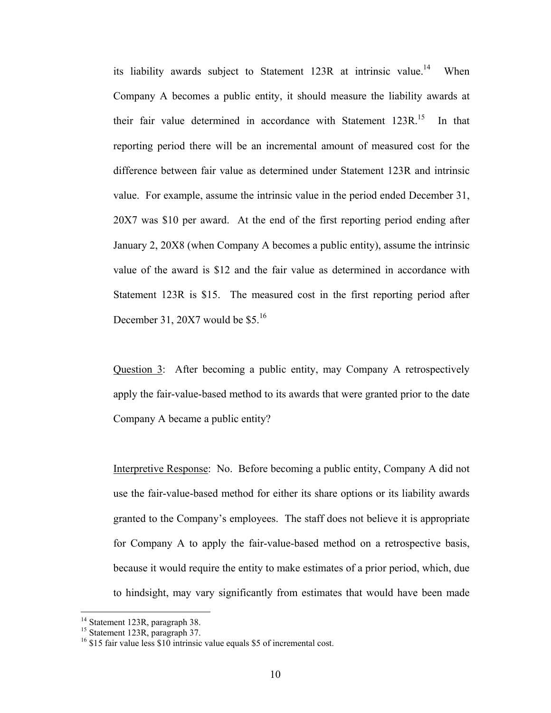its liability awards subject to Statement  $123R$  at intrinsic value.<sup>14</sup> When Company A becomes a public entity, it should measure the liability awards at their fair value determined in accordance with Statement  $123R$ <sup>15</sup> In that reporting period there will be an incremental amount of measured cost for the difference between fair value as determined under Statement 123R and intrinsic value. For example, assume the intrinsic value in the period ended December 31, 20X7 was \$10 per award. At the end of the first reporting period ending after January 2, 20X8 (when Company A becomes a public entity), assume the intrinsic value of the award is \$12 and the fair value as determined in accordance with Statement 123R is \$15. The measured cost in the first reporting period after December 31, 20X7 would be \$5.<sup>16</sup>

Question 3: After becoming a public entity, may Company A retrospectively apply the fair-value-based method to its awards that were granted prior to the date Company A became a public entity?

Interpretive Response: No. Before becoming a public entity, Company A did not use the fair-value-based method for either its share options or its liability awards granted to the Company's employees. The staff does not believe it is appropriate for Company A to apply the fair-value-based method on a retrospective basis, because it would require the entity to make estimates of a prior period, which, due to hindsight, may vary significantly from estimates that would have been made

<sup>&</sup>lt;sup>14</sup> Statement 123R, paragraph 38.

<sup>15</sup> Statement 123R, paragraph 37.

 $16$  \$15 fair value less \$10 intrinsic value equals \$5 of incremental cost.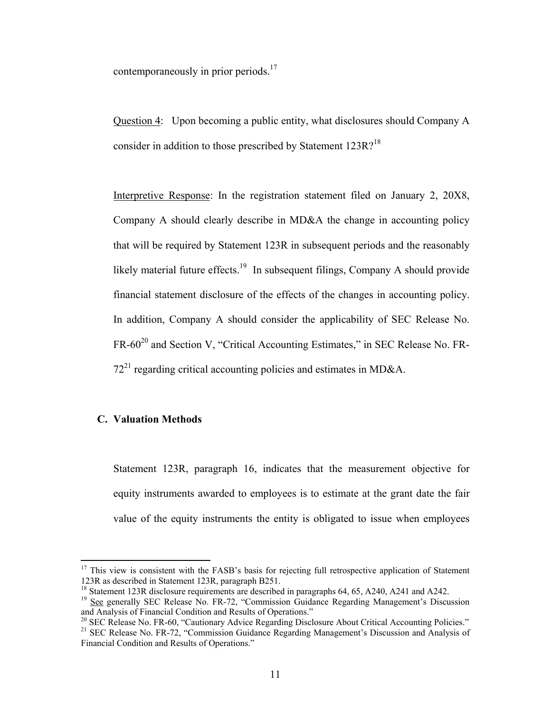contemporaneously in prior periods.<sup>17</sup>

Question 4: Upon becoming a public entity, what disclosures should Company A consider in addition to those prescribed by Statement 123R?<sup>18</sup>

Interpretive Response: In the registration statement filed on January 2, 20X8, Company A should clearly describe in MD&A the change in accounting policy that will be required by Statement 123R in subsequent periods and the reasonably likely material future effects.<sup>19</sup> In subsequent filings, Company A should provide financial statement disclosure of the effects of the changes in accounting policy. In addition, Company A should consider the applicability of SEC Release No. FR-60<sup>20</sup> and Section V, "Critical Accounting Estimates," in SEC Release No. FR- $72^{21}$  regarding critical accounting policies and estimates in MD&A.

## **C. Valuation Methods**

1

Statement 123R, paragraph 16, indicates that the measurement objective for equity instruments awarded to employees is to estimate at the grant date the fair value of the equity instruments the entity is obligated to issue when employees

<sup>&</sup>lt;sup>17</sup> This view is consistent with the FASB's basis for rejecting full retrospective application of Statement 123R as described in Statement 123R, paragraph B251.

<sup>&</sup>lt;sup>18</sup> Statement 123R disclosure requirements are described in paragraphs 64, 65, A240, A241 and A242.

<sup>&</sup>lt;sup>19</sup> See generally SEC Release No. FR-72, "Commission Guidance Regarding Management's Discussion and Analysis of Financial Condition and Results of Operations."<br><sup>20</sup> SEC Release No. FR-60, "Cautionary Advice Regarding Disclosure About Critical Accounting Policies."

<sup>&</sup>lt;sup>21</sup> SEC Release No. FR-72, "Commission Guidance Regarding Management's Discussion and Analysis of Financial Condition and Results of Operations."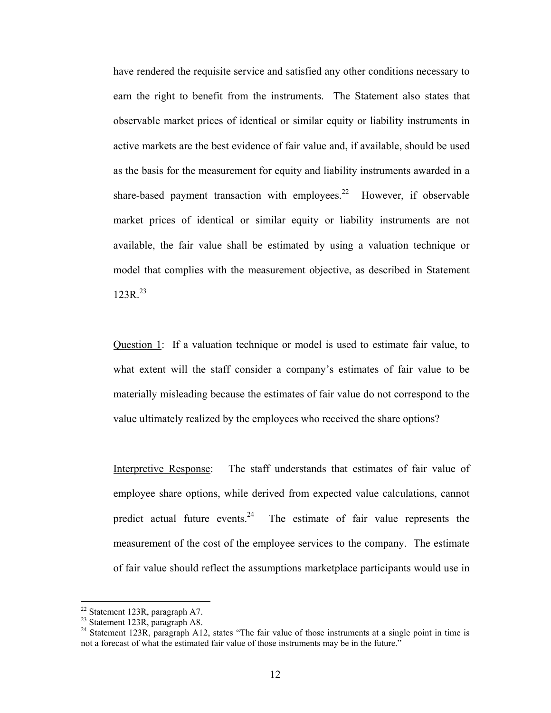have rendered the requisite service and satisfied any other conditions necessary to earn the right to benefit from the instruments. The Statement also states that observable market prices of identical or similar equity or liability instruments in active markets are the best evidence of fair value and, if available, should be used as the basis for the measurement for equity and liability instruments awarded in a share-based payment transaction with employees.<sup>22</sup> However, if observable market prices of identical or similar equity or liability instruments are not available, the fair value shall be estimated by using a valuation technique or model that complies with the measurement objective, as described in Statement  $123R^{23}$ 

Question 1:If a valuation technique or model is used to estimate fair value, to what extent will the staff consider a company's estimates of fair value to be materially misleading because the estimates of fair value do not correspond to the value ultimately realized by the employees who received the share options?

Interpretive Response: The staff understands that estimates of fair value of employee share options, while derived from expected value calculations, cannot predict actual future events. $24$  The estimate of fair value represents the measurement of the cost of the employee services to the company. The estimate of fair value should reflect the assumptions marketplace participants would use in

<sup>22</sup> Statement 123R, paragraph A7.

 $23$  Statement 123R, paragraph A8.

<sup>&</sup>lt;sup>24</sup> Statement 123R, paragraph A12, states "The fair value of those instruments at a single point in time is not a forecast of what the estimated fair value of those instruments may be in the future."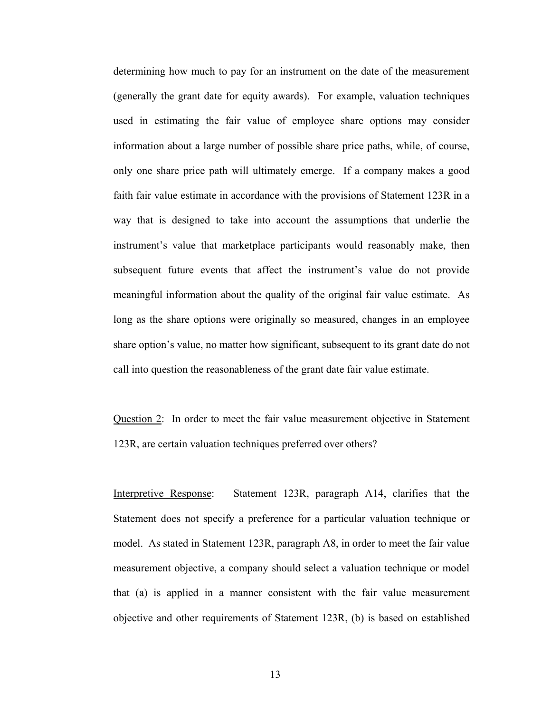determining how much to pay for an instrument on the date of the measurement (generally the grant date for equity awards). For example, valuation techniques used in estimating the fair value of employee share options may consider information about a large number of possible share price paths, while, of course, only one share price path will ultimately emerge. If a company makes a good faith fair value estimate in accordance with the provisions of Statement 123R in a way that is designed to take into account the assumptions that underlie the instrument's value that marketplace participants would reasonably make, then subsequent future events that affect the instrument's value do not provide meaningful information about the quality of the original fair value estimate. As long as the share options were originally so measured, changes in an employee share option's value, no matter how significant, subsequent to its grant date do not call into question the reasonableness of the grant date fair value estimate.

Question 2: In order to meet the fair value measurement objective in Statement 123R, are certain valuation techniques preferred over others?

Interpretive Response: Statement 123R, paragraph A14, clarifies that the Statement does not specify a preference for a particular valuation technique or model. As stated in Statement 123R, paragraph A8, in order to meet the fair value measurement objective, a company should select a valuation technique or model that (a) is applied in a manner consistent with the fair value measurement objective and other requirements of Statement 123R, (b) is based on established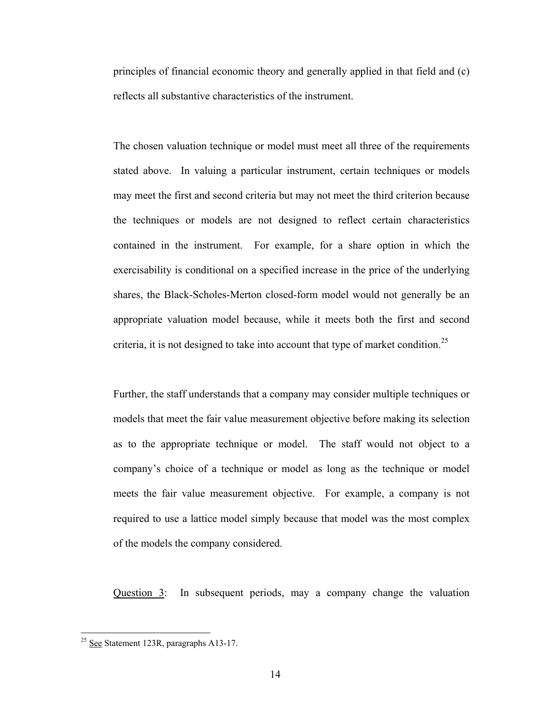principles of financial economic theory and generally applied in that field and (c) reflects all substantive characteristics of the instrument.

The chosen valuation technique or model must meet all three of the requirements stated above. In valuing a particular instrument, certain techniques or models may meet the first and second criteria but may not meet the third criterion because the techniques or models are not designed to reflect certain characteristics contained in the instrument. For example, for a share option in which the exercisability is conditional on a specified increase in the price of the underlying shares, the Black-Scholes-Merton closed-form model would not generally be an appropriate valuation model because, while it meets both the first and second criteria, it is not designed to take into account that type of market condition.<sup>25</sup>

Further, the staff understands that a company may consider multiple techniques or models that meet the fair value measurement objective before making its selection as to the appropriate technique or model. The staff would not object to a company's choice of a technique or model as long as the technique or model meets the fair value measurement objective. For example, a company is not required to use a lattice model simply because that model was the most complex of the models the company considered.

Question 3: In subsequent periods, may a company change the valuation

 $25$  See Statement 123R, paragraphs A13-17.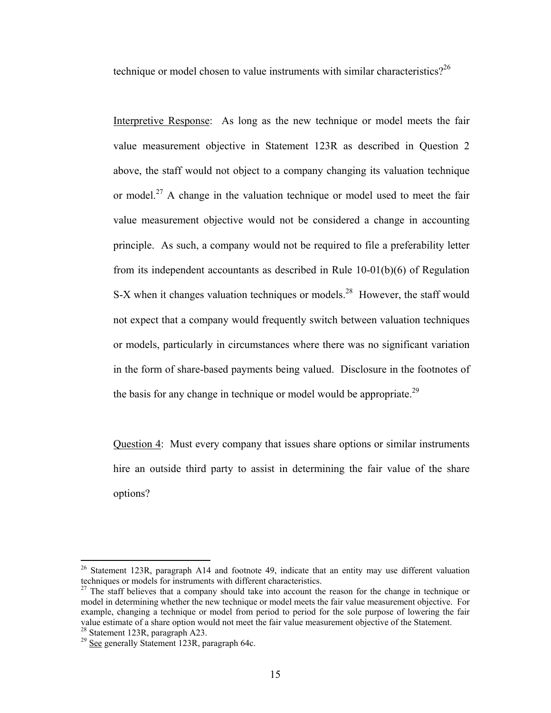technique or model chosen to value instruments with similar characteristics?<sup>26</sup>

Interpretive Response: As long as the new technique or model meets the fair value measurement objective in Statement 123R as described in Question 2 above, the staff would not object to a company changing its valuation technique or model.<sup>27</sup> A change in the valuation technique or model used to meet the fair value measurement objective would not be considered a change in accounting principle. As such, a company would not be required to file a preferability letter from its independent accountants as described in Rule 10-01(b)(6) of Regulation S-X when it changes valuation techniques or models.<sup>28</sup> However, the staff would not expect that a company would frequently switch between valuation techniques or models, particularly in circumstances where there was no significant variation in the form of share-based payments being valued. Disclosure in the footnotes of the basis for any change in technique or model would be appropriate.<sup>29</sup>

Question 4: Must every company that issues share options or similar instruments hire an outside third party to assist in determining the fair value of the share options?

<sup>&</sup>lt;sup>26</sup> Statement 123R, paragraph A14 and footnote 49, indicate that an entity may use different valuation techniques or models for instruments with different characteristics.

<sup>&</sup>lt;sup>27</sup> The staff believes that a company should take into account the reason for the change in technique or model in determining whether the new technique or model meets the fair value measurement objective. For example, changing a technique or model from period to period for the sole purpose of lowering the fair value estimate of a share option would not meet the fair value measurement objective of the Statement. 28 Statement 123R, paragraph A23.

 $29$  See generally Statement 123R, paragraph 64c.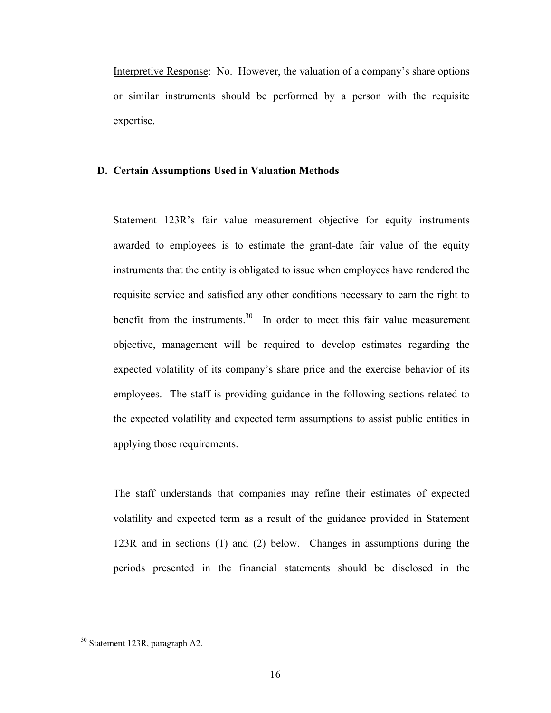Interpretive Response: No. However, the valuation of a company's share options or similar instruments should be performed by a person with the requisite expertise.

## **D. Certain Assumptions Used in Valuation Methods**

Statement 123R's fair value measurement objective for equity instruments awarded to employees is to estimate the grant-date fair value of the equity instruments that the entity is obligated to issue when employees have rendered the requisite service and satisfied any other conditions necessary to earn the right to benefit from the instruments.<sup>30</sup> In order to meet this fair value measurement objective, management will be required to develop estimates regarding the expected volatility of its company's share price and the exercise behavior of its employees. The staff is providing guidance in the following sections related to the expected volatility and expected term assumptions to assist public entities in applying those requirements.

The staff understands that companies may refine their estimates of expected volatility and expected term as a result of the guidance provided in Statement 123R and in sections (1) and (2) below. Changes in assumptions during the periods presented in the financial statements should be disclosed in the

<sup>&</sup>lt;sup>30</sup> Statement 123R, paragraph A2.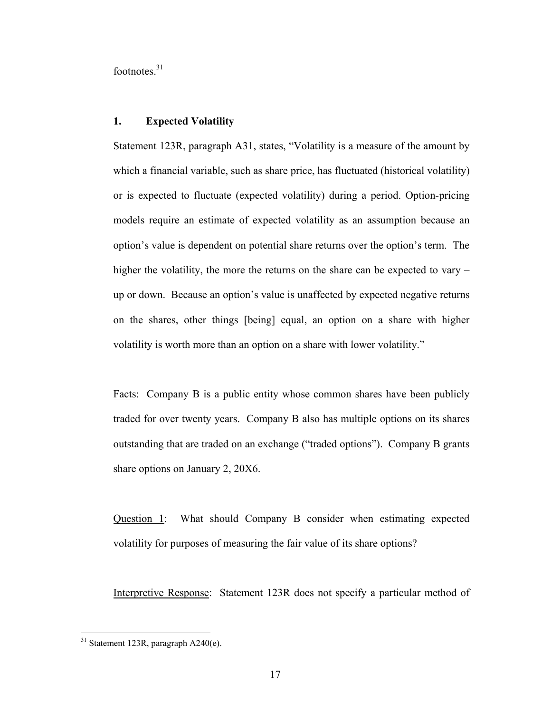footnotes.<sup>31</sup>

## **1. Expected Volatility**

Statement 123R, paragraph A31, states, "Volatility is a measure of the amount by which a financial variable, such as share price, has fluctuated (historical volatility) or is expected to fluctuate (expected volatility) during a period. Option-pricing models require an estimate of expected volatility as an assumption because an option's value is dependent on potential share returns over the option's term. The higher the volatility, the more the returns on the share can be expected to vary – up or down. Because an option's value is unaffected by expected negative returns on the shares, other things [being] equal, an option on a share with higher volatility is worth more than an option on a share with lower volatility."

Facts: Company B is a public entity whose common shares have been publicly traded for over twenty years. Company B also has multiple options on its shares outstanding that are traded on an exchange ("traded options"). Company B grants share options on January 2, 20X6.

Question 1: What should Company B consider when estimating expected volatility for purposes of measuring the fair value of its share options?

Interpretive Response: Statement 123R does not specify a particular method of

 $31$  Statement 123R, paragraph A240(e).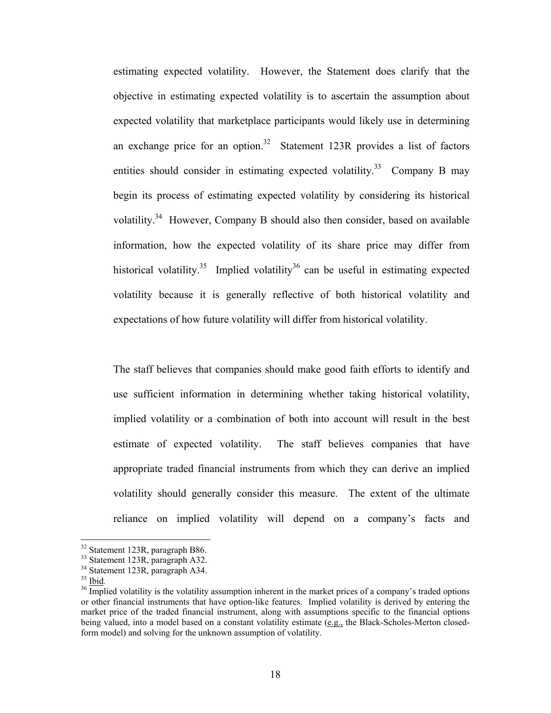estimating expected volatility. However, the Statement does clarify that the objective in estimating expected volatility is to ascertain the assumption about expected volatility that marketplace participants would likely use in determining an exchange price for an option.<sup>32</sup> Statement 123R provides a list of factors entities should consider in estimating expected volatility.<sup>33</sup> Company B may begin its process of estimating expected volatility by considering its historical volatility.34 However, Company B should also then consider, based on available information, how the expected volatility of its share price may differ from historical volatility.<sup>35</sup> Implied volatility.<sup>36</sup> can be useful in estimating expected volatility because it is generally reflective of both historical volatility and expectations of how future volatility will differ from historical volatility.

The staff believes that companies should make good faith efforts to identify and use sufficient information in determining whether taking historical volatility, implied volatility or a combination of both into account will result in the best estimate of expected volatility. The staff believes companies that have appropriate traded financial instruments from which they can derive an implied volatility should generally consider this measure. The extent of the ultimate reliance on implied volatility will depend on a company's facts and

1

<sup>32</sup> Statement 123R, paragraph B86.

<sup>33</sup> Statement 123R, paragraph A32.

 $34$  Statement 123R, paragraph A34.<br> $35$  Ibid.

<sup>&</sup>lt;sup>36</sup> Implied volatility is the volatility assumption inherent in the market prices of a company's traded options or other financial instruments that have option-like features. Implied volatility is derived by entering the market price of the traded financial instrument, along with assumptions specific to the financial options being valued, into a model based on a constant volatility estimate (e.g., the Black-Scholes-Merton closedform model) and solving for the unknown assumption of volatility.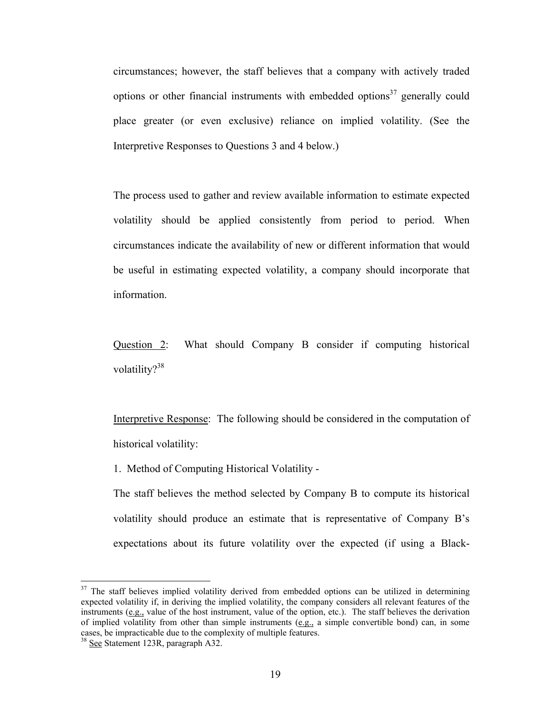circumstances; however, the staff believes that a company with actively traded options or other financial instruments with embedded options<sup>37</sup> generally could place greater (or even exclusive) reliance on implied volatility. (See the Interpretive Responses to Questions 3 and 4 below.)

The process used to gather and review available information to estimate expected volatility should be applied consistently from period to period. When circumstances indicate the availability of new or different information that would be useful in estimating expected volatility, a company should incorporate that information.

Question 2: What should Company B consider if computing historical volatility?<sup>38</sup>

Interpretive Response: The following should be considered in the computation of historical volatility:

1. Method of Computing Historical Volatility -

The staff believes the method selected by Company B to compute its historical volatility should produce an estimate that is representative of Company B's expectations about its future volatility over the expected (if using a Black-

 $37$  The staff believes implied volatility derived from embedded options can be utilized in determining expected volatility if, in deriving the implied volatility, the company considers all relevant features of the instruments (e.g., value of the host instrument, value of the option, etc.). The staff believes the derivation of implied volatility from other than simple instruments (e.g., a simple convertible bond) can, in some cases, be impracticable due to the complexity of multiple features.

<sup>38</sup> See Statement 123R, paragraph A32.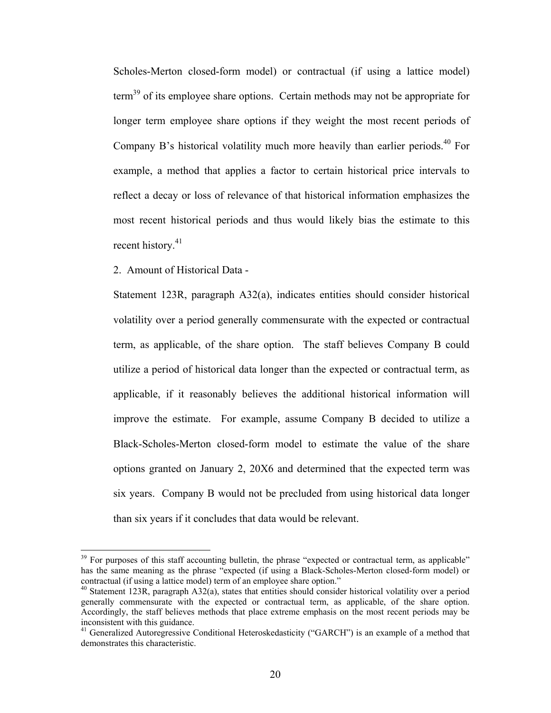Scholes-Merton closed-form model) or contractual (if using a lattice model) term<sup>39</sup> of its employee share options. Certain methods may not be appropriate for longer term employee share options if they weight the most recent periods of Company B's historical volatility much more heavily than earlier periods.<sup>40</sup> For example, a method that applies a factor to certain historical price intervals to reflect a decay or loss of relevance of that historical information emphasizes the most recent historical periods and thus would likely bias the estimate to this recent history.<sup>41</sup>

2. Amount of Historical Data -

 $\overline{a}$ 

Statement 123R, paragraph A32(a), indicates entities should consider historical volatility over a period generally commensurate with the expected or contractual term, as applicable, of the share option. The staff believes Company B could utilize a period of historical data longer than the expected or contractual term, as applicable, if it reasonably believes the additional historical information will improve the estimate. For example, assume Company B decided to utilize a Black-Scholes-Merton closed-form model to estimate the value of the share options granted on January 2, 20X6 and determined that the expected term was six years. Company B would not be precluded from using historical data longer than six years if it concludes that data would be relevant.

 $39$  For purposes of this staff accounting bulletin, the phrase "expected or contractual term, as applicable" has the same meaning as the phrase "expected (if using a Black-Scholes-Merton closed-form model) or contractual (if using a lattice model) term of an employee share option."

<sup>&</sup>lt;sup>40</sup> Statement 123R, paragraph A32(a), states that entities should consider historical volatility over a period generally commensurate with the expected or contractual term, as applicable, of the share option. Accordingly, the staff believes methods that place extreme emphasis on the most recent periods may be inconsistent with this guidance.

<sup>&</sup>lt;sup>41</sup> Generalized Autoregressive Conditional Heteroskedasticity ("GARCH") is an example of a method that demonstrates this characteristic.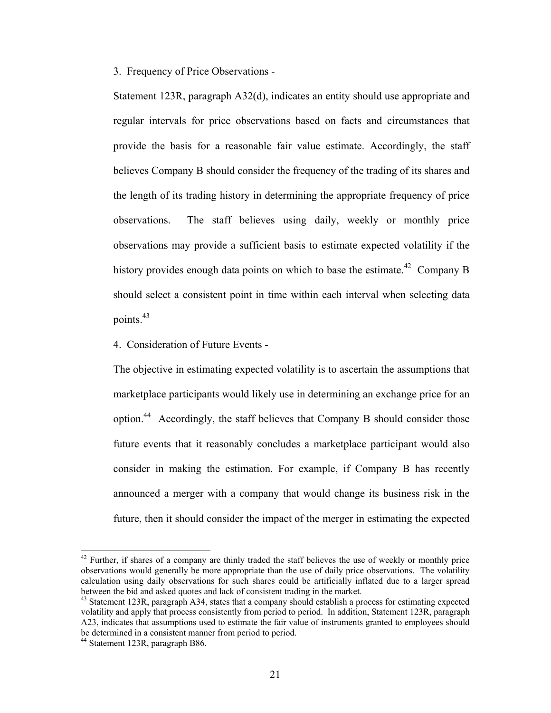3. Frequency of Price Observations -

Statement 123R, paragraph A32(d), indicates an entity should use appropriate and regular intervals for price observations based on facts and circumstances that provide the basis for a reasonable fair value estimate. Accordingly, the staff believes Company B should consider the frequency of the trading of its shares and the length of its trading history in determining the appropriate frequency of price observations. The staff believes using daily, weekly or monthly price observations may provide a sufficient basis to estimate expected volatility if the history provides enough data points on which to base the estimate.<sup>42</sup> Company B should select a consistent point in time within each interval when selecting data points. $43$ 

4. Consideration of Future Events -

The objective in estimating expected volatility is to ascertain the assumptions that marketplace participants would likely use in determining an exchange price for an option.44 Accordingly, the staff believes that Company B should consider those future events that it reasonably concludes a marketplace participant would also consider in making the estimation. For example, if Company B has recently announced a merger with a company that would change its business risk in the future, then it should consider the impact of the merger in estimating the expected

 $42$  Further, if shares of a company are thinly traded the staff believes the use of weekly or monthly price observations would generally be more appropriate than the use of daily price observations. The volatility calculation using daily observations for such shares could be artificially inflated due to a larger spread between the bid and asked quotes and lack of consistent trading in the market.

<sup>&</sup>lt;sup>43</sup> Statement 123R, paragraph A34, states that a company should establish a process for estimating expected volatility and apply that process consistently from period to period. In addition, Statement 123R, paragraph A23, indicates that assumptions used to estimate the fair value of instruments granted to employees should be determined in a consistent manner from period to period.

<sup>&</sup>lt;sup>44</sup> Statement 123R, paragraph B86.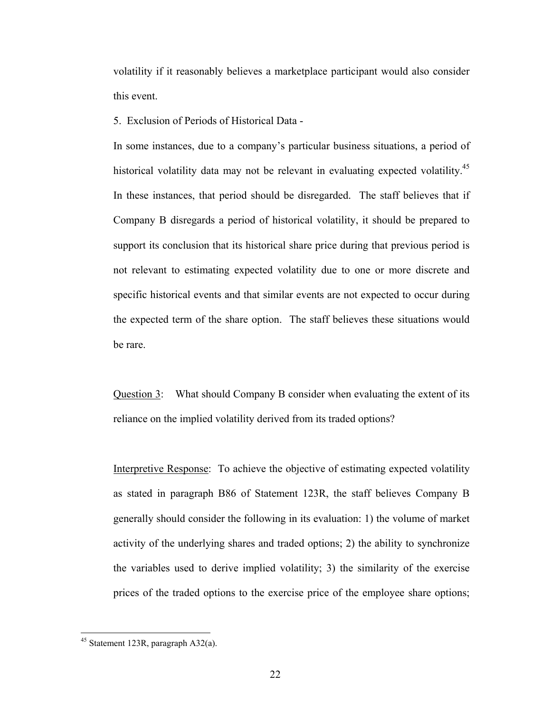volatility if it reasonably believes a marketplace participant would also consider this event.

5. Exclusion of Periods of Historical Data -

In some instances, due to a company's particular business situations, a period of historical volatility data may not be relevant in evaluating expected volatility.<sup>45</sup> In these instances, that period should be disregarded. The staff believes that if Company B disregards a period of historical volatility, it should be prepared to support its conclusion that its historical share price during that previous period is not relevant to estimating expected volatility due to one or more discrete and specific historical events and that similar events are not expected to occur during the expected term of the share option. The staff believes these situations would be rare.

Question 3: What should Company B consider when evaluating the extent of its reliance on the implied volatility derived from its traded options?

Interpretive Response: To achieve the objective of estimating expected volatility as stated in paragraph B86 of Statement 123R, the staff believes Company B generally should consider the following in its evaluation: 1) the volume of market activity of the underlying shares and traded options; 2) the ability to synchronize the variables used to derive implied volatility; 3) the similarity of the exercise prices of the traded options to the exercise price of the employee share options;

 $45$  Statement 123R, paragraph A32(a).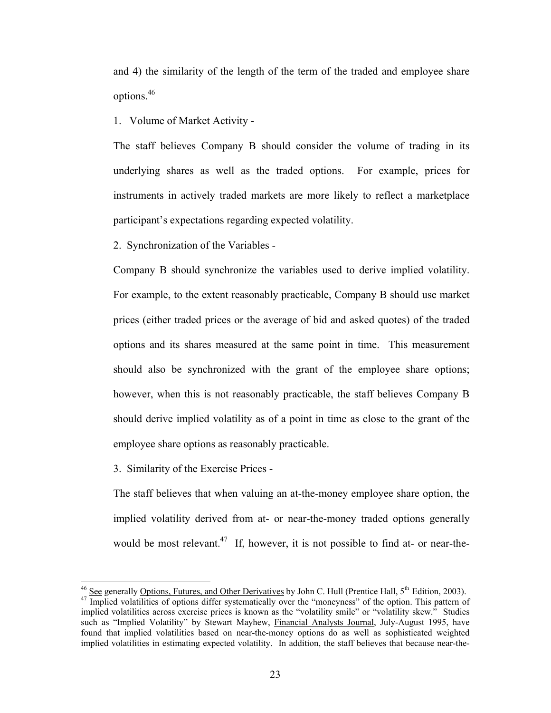and 4) the similarity of the length of the term of the traded and employee share options.46

1. Volume of Market Activity -

The staff believes Company B should consider the volume of trading in its underlying shares as well as the traded options. For example, prices for instruments in actively traded markets are more likely to reflect a marketplace participant's expectations regarding expected volatility.

2. Synchronization of the Variables -

Company B should synchronize the variables used to derive implied volatility. For example, to the extent reasonably practicable, Company B should use market prices (either traded prices or the average of bid and asked quotes) of the traded options and its shares measured at the same point in time. This measurement should also be synchronized with the grant of the employee share options; however, when this is not reasonably practicable, the staff believes Company B should derive implied volatility as of a point in time as close to the grant of the employee share options as reasonably practicable.

3. Similarity of the Exercise Prices -

The staff believes that when valuing an at-the-money employee share option, the implied volatility derived from at- or near-the-money traded options generally would be most relevant.<sup>47</sup> If, however, it is not possible to find at- or near-the-

<sup>&</sup>lt;sup>46</sup> See generally Options, Futures, and Other Derivatives by John C. Hull (Prentice Hall,  $5<sup>th</sup>$  Edition, 2003).  $47$  Implied volatilities of options differ systematically over the "moneyness" of the option. This pattern of implied volatilities across exercise prices is known as the "volatility smile" or "volatility skew." Studies such as "Implied Volatility" by Stewart Mayhew, Financial Analysts Journal, July-August 1995, have found that implied volatilities based on near-the-money options do as well as sophisticated weighted implied volatilities in estimating expected volatility. In addition, the staff believes that because near-the-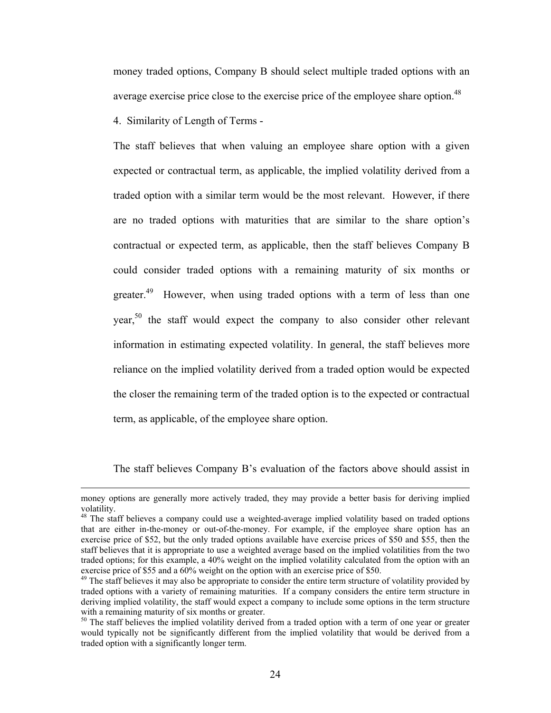money traded options, Company B should select multiple traded options with an average exercise price close to the exercise price of the employee share option.<sup>48</sup>

4. Similarity of Length of Terms -

The staff believes that when valuing an employee share option with a given expected or contractual term, as applicable, the implied volatility derived from a traded option with a similar term would be the most relevant. However, if there are no traded options with maturities that are similar to the share option's contractual or expected term, as applicable, then the staff believes Company B could consider traded options with a remaining maturity of six months or greater.<sup>49</sup> However, when using traded options with a term of less than one year,<sup>50</sup> the staff would expect the company to also consider other relevant information in estimating expected volatility. In general, the staff believes more reliance on the implied volatility derived from a traded option would be expected the closer the remaining term of the traded option is to the expected or contractual term, as applicable, of the employee share option.

The staff believes Company B's evaluation of the factors above should assist in

money options are generally more actively traded, they may provide a better basis for deriving implied volatility.

<sup>&</sup>lt;sup>48</sup> The staff believes a company could use a weighted-average implied volatility based on traded options that are either in-the-money or out-of-the-money. For example, if the employee share option has an exercise price of \$52, but the only traded options available have exercise prices of \$50 and \$55, then the staff believes that it is appropriate to use a weighted average based on the implied volatilities from the two traded options; for this example, a 40% weight on the implied volatility calculated from the option with an exercise price of \$55 and a 60% weight on the option with an exercise price of \$50.<br><sup>49</sup> The staff believes it may also be appropriate to consider the entire term structure of volatility provided by

traded options with a variety of remaining maturities. If a company considers the entire term structure in deriving implied volatility, the staff would expect a company to include some options in the term structure with a remaining maturity of six months or greater.

<sup>&</sup>lt;sup>50</sup> The staff believes the implied volatility derived from a traded option with a term of one year or greater would typically not be significantly different from the implied volatility that would be derived from a traded option with a significantly longer term.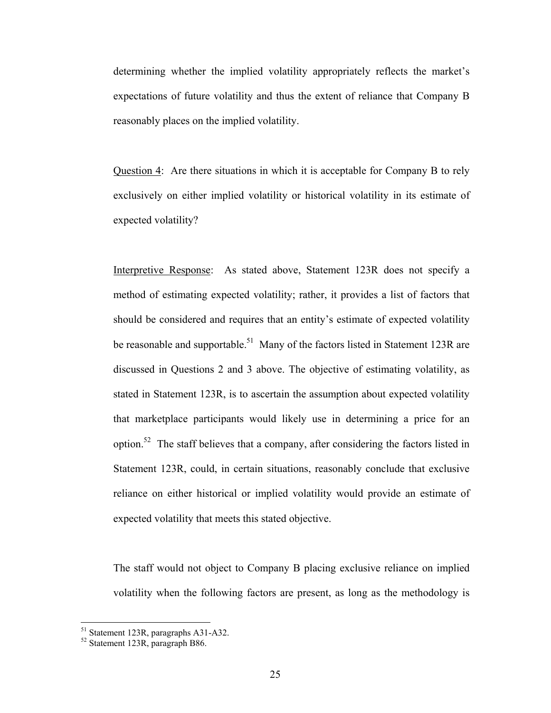determining whether the implied volatility appropriately reflects the market's expectations of future volatility and thus the extent of reliance that Company B reasonably places on the implied volatility.

Question 4: Are there situations in which it is acceptable for Company B to rely exclusively on either implied volatility or historical volatility in its estimate of expected volatility?

Interpretive Response: As stated above, Statement 123R does not specify a method of estimating expected volatility; rather, it provides a list of factors that should be considered and requires that an entity's estimate of expected volatility be reasonable and supportable.<sup>51</sup> Many of the factors listed in Statement 123R are discussed in Questions 2 and 3 above. The objective of estimating volatility, as stated in Statement 123R, is to ascertain the assumption about expected volatility that marketplace participants would likely use in determining a price for an option.52 The staff believes that a company, after considering the factors listed in Statement 123R, could, in certain situations, reasonably conclude that exclusive reliance on either historical or implied volatility would provide an estimate of expected volatility that meets this stated objective.

The staff would not object to Company B placing exclusive reliance on implied volatility when the following factors are present, as long as the methodology is

1

<sup>&</sup>lt;sup>51</sup> Statement 123R, paragraphs A31-A32.

<sup>52</sup> Statement 123R, paragraph B86.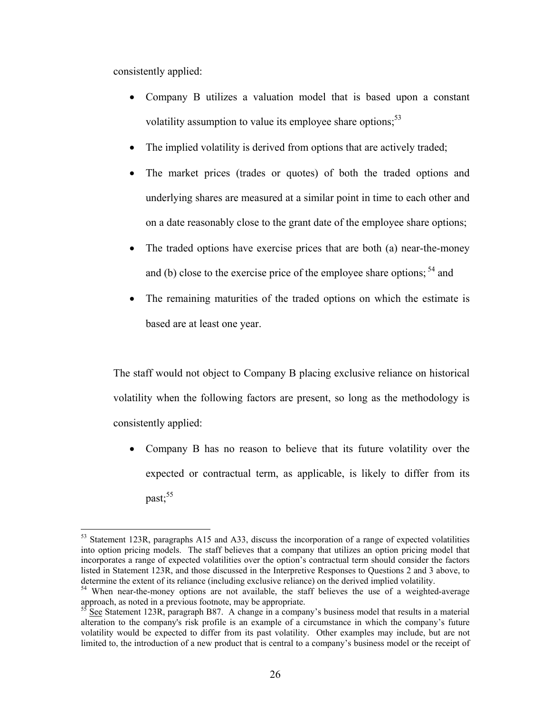consistently applied:

 $\overline{a}$ 

- Company B utilizes a valuation model that is based upon a constant volatility assumption to value its employee share options:  $53$
- The implied volatility is derived from options that are actively traded;
- The market prices (trades or quotes) of both the traded options and underlying shares are measured at a similar point in time to each other and on a date reasonably close to the grant date of the employee share options;
- The traded options have exercise prices that are both (a) near-the-money and (b) close to the exercise price of the employee share options;  $<sup>54</sup>$  and</sup>
- The remaining maturities of the traded options on which the estimate is based are at least one year.

The staff would not object to Company B placing exclusive reliance on historical volatility when the following factors are present, so long as the methodology is consistently applied:

• Company B has no reason to believe that its future volatility over the expected or contractual term, as applicable, is likely to differ from its past;<sup>55</sup>

<sup>&</sup>lt;sup>53</sup> Statement 123R, paragraphs A15 and A33, discuss the incorporation of a range of expected volatilities into option pricing models. The staff believes that a company that utilizes an option pricing model that incorporates a range of expected volatilities over the option's contractual term should consider the factors listed in Statement 123R, and those discussed in the Interpretive Responses to Questions 2 and 3 above, to determine the extent of its reliance (including exclusive reliance) on the derived implied volatility.

<sup>&</sup>lt;sup>54</sup> When near-the-money options are not available, the staff believes the use of a weighted-average approach, as noted in a previous footnote, may be appropriate.

See Statement 123R, paragraph B87. A change in a company's business model that results in a material alteration to the company's risk profile is an example of a circumstance in which the company's future volatility would be expected to differ from its past volatility. Other examples may include, but are not limited to, the introduction of a new product that is central to a company's business model or the receipt of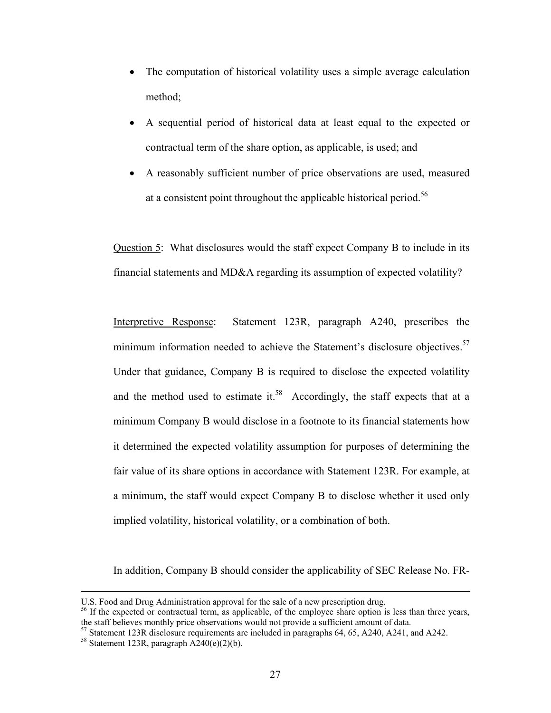- The computation of historical volatility uses a simple average calculation method;
- A sequential period of historical data at least equal to the expected or contractual term of the share option, as applicable, is used; and
- A reasonably sufficient number of price observations are used, measured at a consistent point throughout the applicable historical period.56

Question 5: What disclosures would the staff expect Company B to include in its financial statements and MD&A regarding its assumption of expected volatility?

Interpretive Response: Statement 123R, paragraph A240, prescribes the minimum information needed to achieve the Statement's disclosure objectives.<sup>57</sup> Under that guidance, Company B is required to disclose the expected volatility and the method used to estimate it.<sup>58</sup> Accordingly, the staff expects that at a minimum Company B would disclose in a footnote to its financial statements how it determined the expected volatility assumption for purposes of determining the fair value of its share options in accordance with Statement 123R. For example, at a minimum, the staff would expect Company B to disclose whether it used only implied volatility, historical volatility, or a combination of both.

In addition, Company B should consider the applicability of SEC Release No. FR-

U.S. Food and Drug Administration approval for the sale of a new prescription drug.

<sup>&</sup>lt;sup>56</sup> If the expected or contractual term, as applicable, of the employee share option is less than three years, the staff believes monthly price observations would not provide a sufficient amount of data.

<sup>&</sup>lt;sup>57</sup> Statement 123R disclosure requirements are included in paragraphs 64, 65, A240, A241, and A242.<br><sup>58</sup> Statement 123R, paragraph A240(e)(2)(b).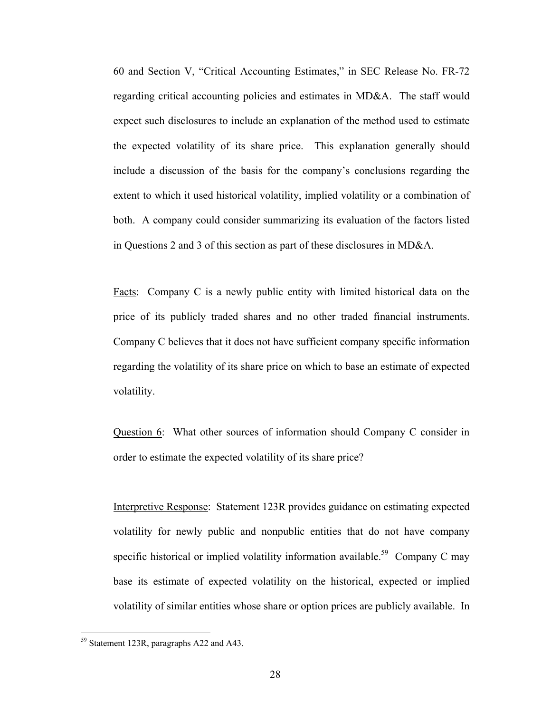60 and Section V, "Critical Accounting Estimates," in SEC Release No. FR-72 regarding critical accounting policies and estimates in MD&A. The staff would expect such disclosures to include an explanation of the method used to estimate the expected volatility of its share price. This explanation generally should include a discussion of the basis for the company's conclusions regarding the extent to which it used historical volatility, implied volatility or a combination of both. A company could consider summarizing its evaluation of the factors listed in Questions 2 and 3 of this section as part of these disclosures in MD&A.

Facts: Company C is a newly public entity with limited historical data on the price of its publicly traded shares and no other traded financial instruments. Company C believes that it does not have sufficient company specific information regarding the volatility of its share price on which to base an estimate of expected volatility.

Question 6:What other sources of information should Company C consider in order to estimate the expected volatility of its share price?

Interpretive Response: Statement 123R provides guidance on estimating expected volatility for newly public and nonpublic entities that do not have company specific historical or implied volatility information available.<sup>59</sup> Company C may base its estimate of expected volatility on the historical, expected or implied volatility of similar entities whose share or option prices are publicly available. In

<sup>&</sup>lt;sup>59</sup> Statement 123R, paragraphs A22 and A43.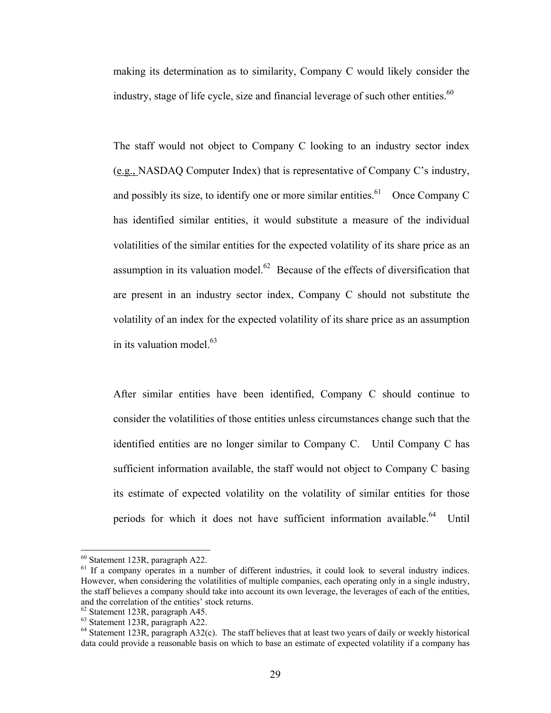making its determination as to similarity, Company C would likely consider the industry, stage of life cycle, size and financial leverage of such other entities.<sup>60</sup>

The staff would not object to Company C looking to an industry sector index (e.g., NASDAQ Computer Index) that is representative of Company C's industry, and possibly its size, to identify one or more similar entities. $61$  Once Company C has identified similar entities, it would substitute a measure of the individual volatilities of the similar entities for the expected volatility of its share price as an assumption in its valuation model.<sup>62</sup> Because of the effects of diversification that are present in an industry sector index, Company C should not substitute the volatility of an index for the expected volatility of its share price as an assumption in its valuation model. $63$ 

After similar entities have been identified, Company C should continue to consider the volatilities of those entities unless circumstances change such that the identified entities are no longer similar to Company C. Until Company C has sufficient information available, the staff would not object to Company C basing its estimate of expected volatility on the volatility of similar entities for those periods for which it does not have sufficient information available.<sup>64</sup> Until

<sup>60</sup> Statement 123R, paragraph A22.

<sup>&</sup>lt;sup>61</sup> If a company operates in a number of different industries, it could look to several industry indices. However, when considering the volatilities of multiple companies, each operating only in a single industry, the staff believes a company should take into account its own leverage, the leverages of each of the entities, and the correlation of the entities' stock returns.

<sup>62</sup> Statement 123R, paragraph A45.

<sup>63</sup> Statement 123R, paragraph A22.

<sup>&</sup>lt;sup>64</sup> Statement 123R, paragraph A32(c). The staff believes that at least two years of daily or weekly historical data could provide a reasonable basis on which to base an estimate of expected volatility if a company has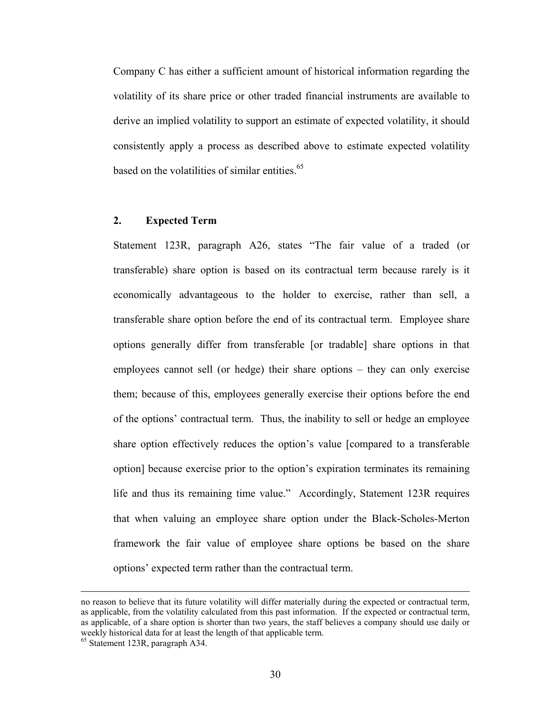Company C has either a sufficient amount of historical information regarding the volatility of its share price or other traded financial instruments are available to derive an implied volatility to support an estimate of expected volatility, it should consistently apply a process as described above to estimate expected volatility based on the volatilities of similar entities. $65$ 

## **2. Expected Term**

Statement 123R, paragraph A26, states "The fair value of a traded (or transferable) share option is based on its contractual term because rarely is it economically advantageous to the holder to exercise, rather than sell, a transferable share option before the end of its contractual term. Employee share options generally differ from transferable [or tradable] share options in that employees cannot sell (or hedge) their share options – they can only exercise them; because of this, employees generally exercise their options before the end of the options' contractual term. Thus, the inability to sell or hedge an employee share option effectively reduces the option's value [compared to a transferable option] because exercise prior to the option's expiration terminates its remaining life and thus its remaining time value." Accordingly, Statement 123R requires that when valuing an employee share option under the Black-Scholes-Merton framework the fair value of employee share options be based on the share options' expected term rather than the contractual term.

no reason to believe that its future volatility will differ materially during the expected or contractual term, as applicable, from the volatility calculated from this past information. If the expected or contractual term, as applicable, of a share option is shorter than two years, the staff believes a company should use daily or weekly historical data for at least the length of that applicable term.<br><sup>65</sup> Statement 123R, paragraph A34.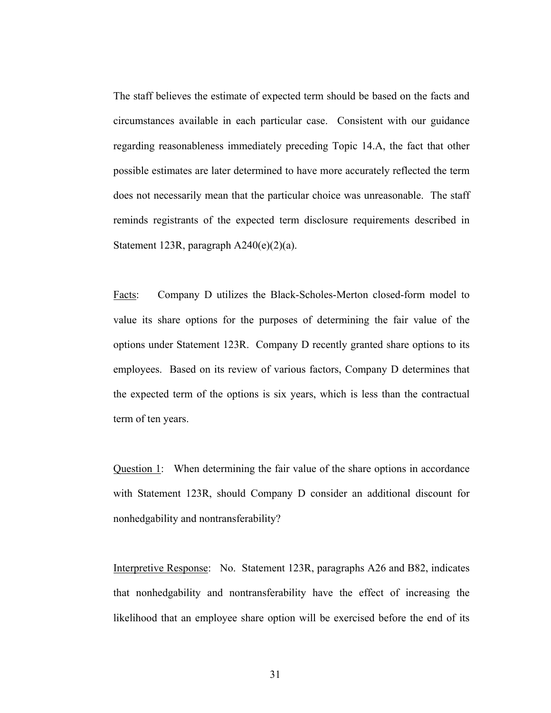The staff believes the estimate of expected term should be based on the facts and circumstances available in each particular case. Consistent with our guidance regarding reasonableness immediately preceding Topic 14.A, the fact that other possible estimates are later determined to have more accurately reflected the term does not necessarily mean that the particular choice was unreasonable. The staff reminds registrants of the expected term disclosure requirements described in Statement 123R, paragraph A240(e)(2)(a).

Facts: Company D utilizes the Black-Scholes-Merton closed-form model to value its share options for the purposes of determining the fair value of the options under Statement 123R. Company D recently granted share options to its employees. Based on its review of various factors, Company D determines that the expected term of the options is six years, which is less than the contractual term of ten years.

Question 1: When determining the fair value of the share options in accordance with Statement 123R, should Company D consider an additional discount for nonhedgability and nontransferability?

Interpretive Response: No. Statement 123R, paragraphs A26 and B82, indicates that nonhedgability and nontransferability have the effect of increasing the likelihood that an employee share option will be exercised before the end of its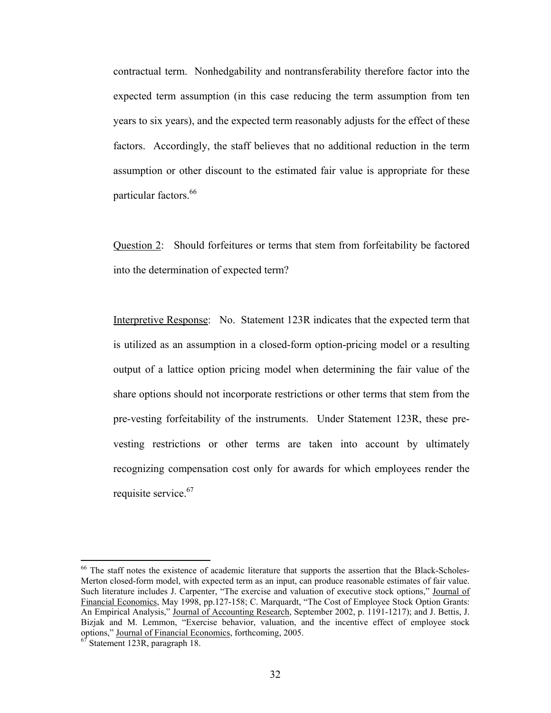contractual term. Nonhedgability and nontransferability therefore factor into the expected term assumption (in this case reducing the term assumption from ten years to six years), and the expected term reasonably adjusts for the effect of these factors. Accordingly, the staff believes that no additional reduction in the term assumption or other discount to the estimated fair value is appropriate for these particular factors.<sup>66</sup>

Question 2: Should forfeitures or terms that stem from forfeitability be factored into the determination of expected term?

Interpretive Response: No. Statement 123R indicates that the expected term that is utilized as an assumption in a closed-form option-pricing model or a resulting output of a lattice option pricing model when determining the fair value of the share options should not incorporate restrictions or other terms that stem from the pre-vesting forfeitability of the instruments. Under Statement 123R, these prevesting restrictions or other terms are taken into account by ultimately recognizing compensation cost only for awards for which employees render the requisite service.<sup>67</sup>

<sup>&</sup>lt;sup>66</sup> The staff notes the existence of academic literature that supports the assertion that the Black-Scholes-Merton closed-form model, with expected term as an input, can produce reasonable estimates of fair value. Such literature includes J. Carpenter, "The exercise and valuation of executive stock options," Journal of Financial Economics, May 1998, pp.127-158; C. Marquardt, "The Cost of Employee Stock Option Grants: An Empirical Analysis," Journal of Accounting Research, September 2002, p. 1191-1217); and J. Bettis, J. Bizjak and M. Lemmon, "Exercise behavior, valuation, and the incentive effect of employee stock options," Journal of Financial Economics, forthcoming, 2005.<br><sup>67</sup> Statement 123R, paragraph 18.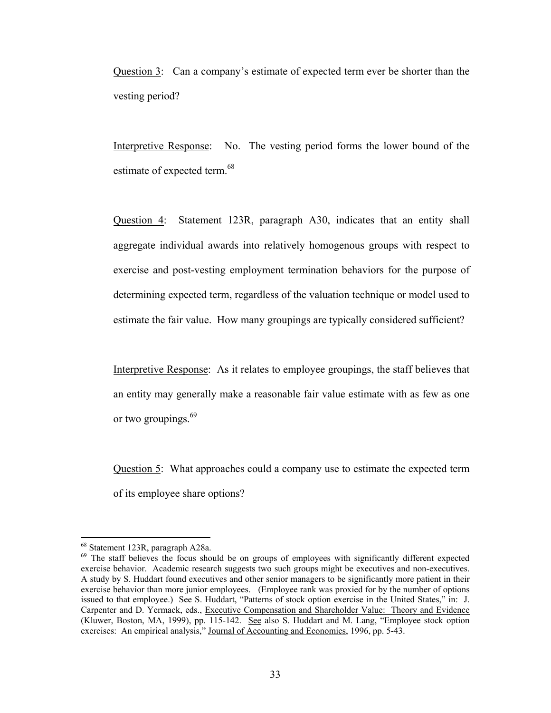Question 3: Can a company's estimate of expected term ever be shorter than the vesting period?

Interpretive Response: No. The vesting period forms the lower bound of the estimate of expected term.<sup>68</sup>

Question 4: Statement 123R, paragraph A30, indicates that an entity shall aggregate individual awards into relatively homogenous groups with respect to exercise and post-vesting employment termination behaviors for the purpose of determining expected term, regardless of the valuation technique or model used to estimate the fair value. How many groupings are typically considered sufficient?

Interpretive Response: As it relates to employee groupings, the staff believes that an entity may generally make a reasonable fair value estimate with as few as one or two groupings.<sup>69</sup>

Question 5: What approaches could a company use to estimate the expected term of its employee share options?

<sup>68</sup> Statement 123R, paragraph A28a.

<sup>&</sup>lt;sup>69</sup> The staff believes the focus should be on groups of employees with significantly different expected exercise behavior. Academic research suggests two such groups might be executives and non-executives. A study by S. Huddart found executives and other senior managers to be significantly more patient in their exercise behavior than more junior employees. (Employee rank was proxied for by the number of options issued to that employee.) See S. Huddart, "Patterns of stock option exercise in the United States," in: J. Carpenter and D. Yermack, eds., Executive Compensation and Shareholder Value: Theory and Evidence (Kluwer, Boston, MA, 1999), pp. 115-142. See also S. Huddart and M. Lang, "Employee stock option exercises: An empirical analysis," Journal of Accounting and Economics, 1996, pp. 5-43.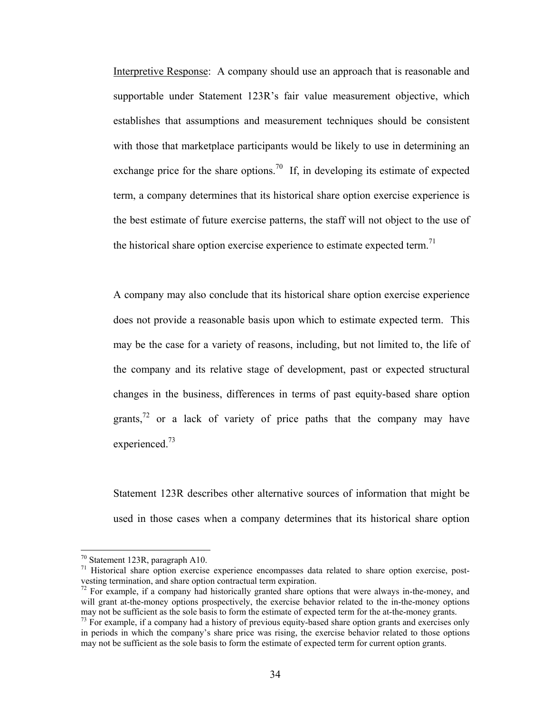Interpretive Response: A company should use an approach that is reasonable and supportable under Statement 123R's fair value measurement objective, which establishes that assumptions and measurement techniques should be consistent with those that marketplace participants would be likely to use in determining an exchange price for the share options.<sup>70</sup> If, in developing its estimate of expected term, a company determines that its historical share option exercise experience is the best estimate of future exercise patterns, the staff will not object to the use of the historical share option exercise experience to estimate expected term.<sup>71</sup>

A company may also conclude that its historical share option exercise experience does not provide a reasonable basis upon which to estimate expected term. This may be the case for a variety of reasons, including, but not limited to, the life of the company and its relative stage of development, past or expected structural changes in the business, differences in terms of past equity-based share option grants, $72$  or a lack of variety of price paths that the company may have experienced.<sup>73</sup>

Statement 123R describes other alternative sources of information that might be used in those cases when a company determines that its historical share option

<u>.</u>

<sup>71</sup> Historical share option exercise experience encompasses data related to share option exercise, postvesting termination, and share option contractual term expiration.

<sup>70</sup> Statement 123R, paragraph A10.

 $72$  For example, if a company had historically granted share options that were always in-the-money, and will grant at-the-money options prospectively, the exercise behavior related to the in-the-money options may not be sufficient as the sole basis to form the estimate of expected term for the at-the-money grants.

 $^{73}$  For example, if a company had a history of previous equity-based share option grants and exercises only in periods in which the company's share price was rising, the exercise behavior related to those options may not be sufficient as the sole basis to form the estimate of expected term for current option grants.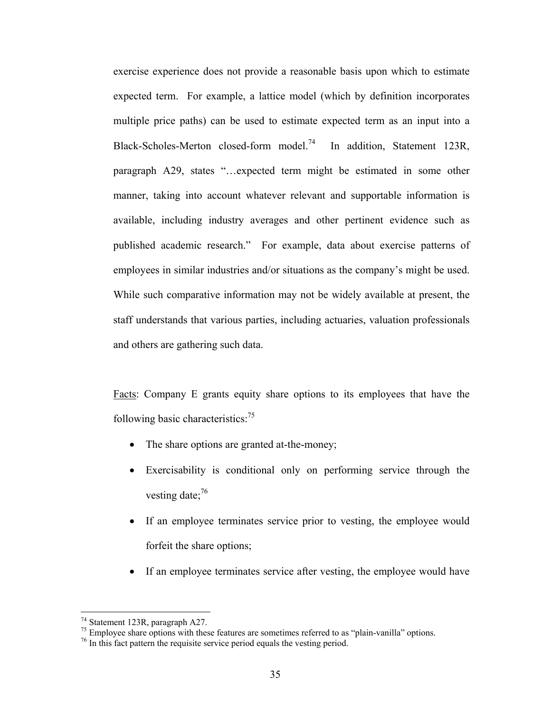exercise experience does not provide a reasonable basis upon which to estimate expected term. For example, a lattice model (which by definition incorporates multiple price paths) can be used to estimate expected term as an input into a Black-Scholes-Merton closed-form model.74 In addition, Statement 123R, paragraph A29, states "…expected term might be estimated in some other manner, taking into account whatever relevant and supportable information is available, including industry averages and other pertinent evidence such as published academic research." For example, data about exercise patterns of employees in similar industries and/or situations as the company's might be used. While such comparative information may not be widely available at present, the staff understands that various parties, including actuaries, valuation professionals and others are gathering such data.

Facts: Company E grants equity share options to its employees that have the following basic characteristics: $^{75}$ 

- The share options are granted at-the-money;
- Exercisability is conditional only on performing service through the vesting date; $^{76}$
- If an employee terminates service prior to vesting, the employee would forfeit the share options;
- If an employee terminates service after vesting, the employee would have

<u>.</u>

<sup>74</sup> Statement 123R, paragraph A27.

<sup>&</sup>lt;sup>75</sup> Employee share options with these features are sometimes referred to as "plain-vanilla" options. <sup>76</sup> In this fact pattern the requisite service period equals the vesting period.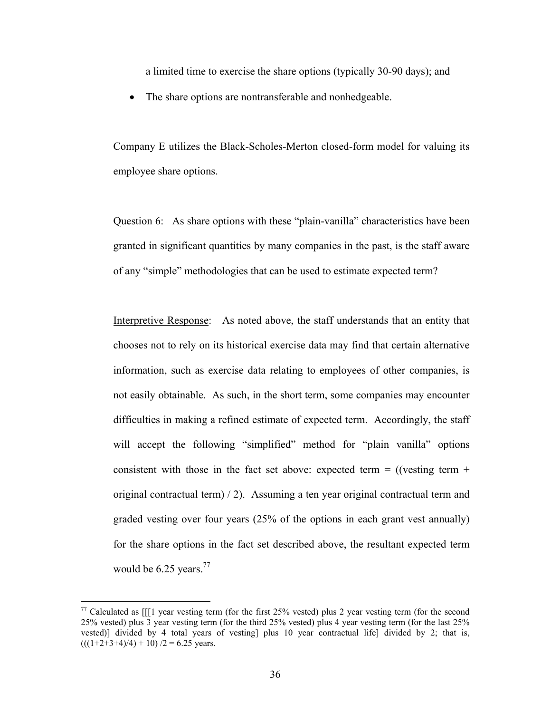a limited time to exercise the share options (typically 30-90 days); and

The share options are nontransferable and nonhedgeable.

Company E utilizes the Black-Scholes-Merton closed-form model for valuing its employee share options.

Question 6: As share options with these "plain-vanilla" characteristics have been granted in significant quantities by many companies in the past, is the staff aware of any "simple" methodologies that can be used to estimate expected term?

Interpretive Response: As noted above, the staff understands that an entity that chooses not to rely on its historical exercise data may find that certain alternative information, such as exercise data relating to employees of other companies, is not easily obtainable. As such, in the short term, some companies may encounter difficulties in making a refined estimate of expected term. Accordingly, the staff will accept the following "simplified" method for "plain vanilla" options consistent with those in the fact set above: expected term =  $((vesting term +$ original contractual term) / 2). Assuming a ten year original contractual term and graded vesting over four years (25% of the options in each grant vest annually) for the share options in the fact set described above, the resultant expected term would be  $6.25$  years.<sup>77</sup>

<sup>&</sup>lt;sup>77</sup> Calculated as  $[[1]$  year vesting term (for the first 25% vested) plus 2 year vesting term (for the second 25% vested) plus 3 year vesting term (for the third 25% vested) plus 4 year vesting term (for the last 25% vested)] divided by 4 total years of vesting] plus 10 year contractual life] divided by 2; that is,  $(((1+2+3+4)/4) + 10)/2 = 6.25$  years.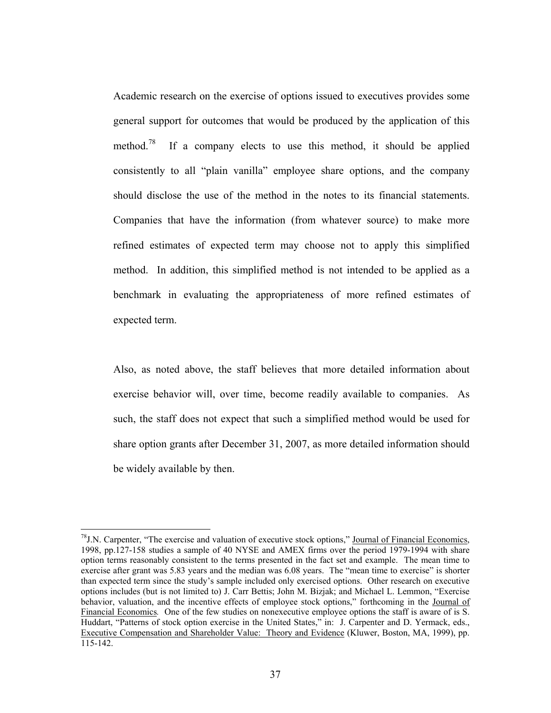Academic research on the exercise of options issued to executives provides some general support for outcomes that would be produced by the application of this method.<sup>78</sup> If a company elects to use this method, it should be applied consistently to all "plain vanilla" employee share options, and the company should disclose the use of the method in the notes to its financial statements. Companies that have the information (from whatever source) to make more refined estimates of expected term may choose not to apply this simplified method. In addition, this simplified method is not intended to be applied as a benchmark in evaluating the appropriateness of more refined estimates of expected term.

Also, as noted above, the staff believes that more detailed information about exercise behavior will, over time, become readily available to companies. As such, the staff does not expect that such a simplified method would be used for share option grants after December 31, 2007, as more detailed information should be widely available by then.

 $^{78}$ J.N. Carpenter, "The exercise and valuation of executive stock options," Journal of Financial Economics, 1998, pp.127-158 studies a sample of 40 NYSE and AMEX firms over the period 1979-1994 with share option terms reasonably consistent to the terms presented in the fact set and example. The mean time to exercise after grant was 5.83 years and the median was 6.08 years. The "mean time to exercise" is shorter than expected term since the study's sample included only exercised options. Other research on executive options includes (but is not limited to) J. Carr Bettis; John M. Bizjak; and Michael L. Lemmon, "Exercise behavior, valuation, and the incentive effects of employee stock options," forthcoming in the Journal of Financial Economics*.* One of the few studies on nonexecutive employee options the staff is aware of is S. Huddart, "Patterns of stock option exercise in the United States," in: J. Carpenter and D. Yermack, eds., Executive Compensation and Shareholder Value: Theory and Evidence (Kluwer, Boston, MA, 1999), pp. 115-142.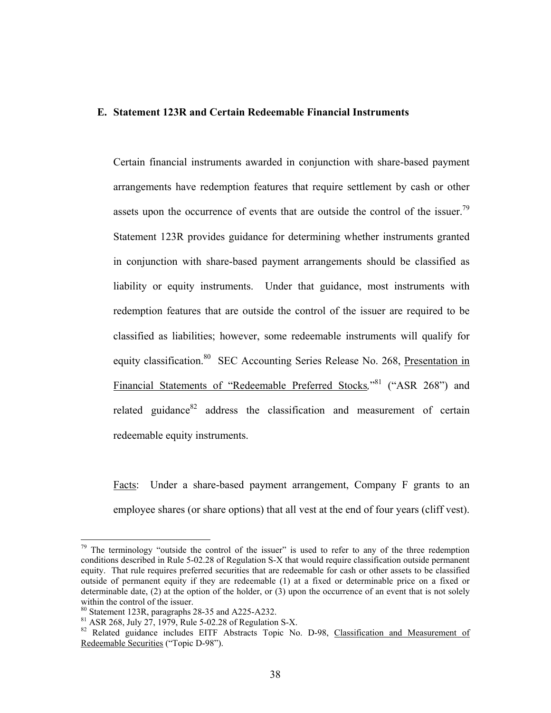## **E. Statement 123R and Certain Redeemable Financial Instruments**

Certain financial instruments awarded in conjunction with share-based payment arrangements have redemption features that require settlement by cash or other assets upon the occurrence of events that are outside the control of the issuer.<sup>79</sup> Statement 123R provides guidance for determining whether instruments granted in conjunction with share-based payment arrangements should be classified as liability or equity instruments. Under that guidance, most instruments with redemption features that are outside the control of the issuer are required to be classified as liabilities; however, some redeemable instruments will qualify for equity classification.<sup>80</sup> SEC Accounting Series Release No. 268, Presentation in Financial Statements of "Redeemable Preferred Stocks,"<sup>81</sup> ("ASR 268") and related guidance $82$  address the classification and measurement of certain redeemable equity instruments.

Facts:Under a share-based payment arrangement, Company F grants to an employee shares (or share options) that all vest at the end of four years (cliff vest).

 $79$  The terminology "outside the control of the issuer" is used to refer to any of the three redemption conditions described in Rule 5-02.28 of Regulation S-X that would require classification outside permanent equity. That rule requires preferred securities that are redeemable for cash or other assets to be classified outside of permanent equity if they are redeemable (1) at a fixed or determinable price on a fixed or determinable date, (2) at the option of the holder, or (3) upon the occurrence of an event that is not solely within the control of the issuer.

<sup>80</sup> Statement 123R, paragraphs 28-35 and A225-A232.

<sup>81</sup> ASR 268, July 27, 1979, Rule 5-02.28 of Regulation S-X.

<sup>&</sup>lt;sup>82</sup> Related guidance includes EITF Abstracts Topic No. D-98, Classification and Measurement of Redeemable Securities ("Topic D-98").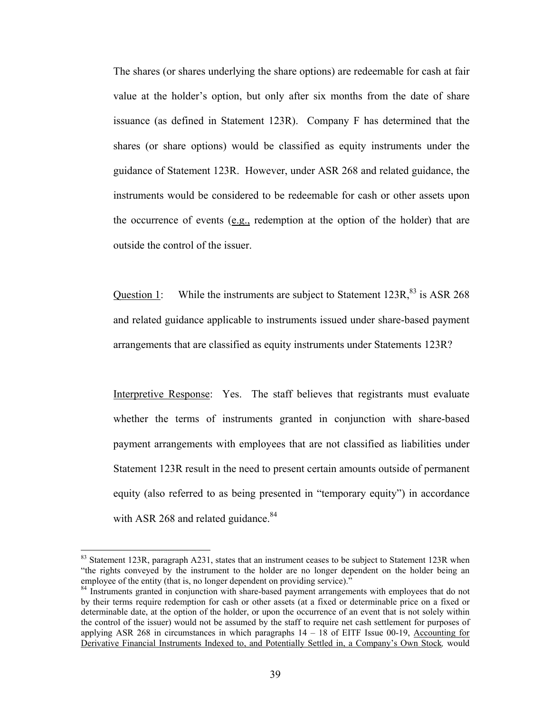The shares (or shares underlying the share options) are redeemable for cash at fair value at the holder's option, but only after six months from the date of share issuance (as defined in Statement 123R). Company F has determined that the shares (or share options) would be classified as equity instruments under the guidance of Statement 123R. However, under ASR 268 and related guidance, the instruments would be considered to be redeemable for cash or other assets upon the occurrence of events (e.g., redemption at the option of the holder) that are outside the control of the issuer.

Question 1: While the instruments are subject to Statement  $123R<sub>s</sub><sup>83</sup>$  is ASR 268 and related guidance applicable to instruments issued under share-based payment arrangements that are classified as equity instruments under Statements 123R?

Interpretive Response:Yes. The staff believes that registrants must evaluate whether the terms of instruments granted in conjunction with share-based payment arrangements with employees that are not classified as liabilities under Statement 123R result in the need to present certain amounts outside of permanent equity (also referred to as being presented in "temporary equity") in accordance with ASR 268 and related guidance. $84$ 

<sup>&</sup>lt;sup>83</sup> Statement 123R, paragraph A231, states that an instrument ceases to be subject to Statement 123R when "the rights conveyed by the instrument to the holder are no longer dependent on the holder being an employee of the entity (that is, no longer dependent on providing service)."

<sup>&</sup>lt;sup>84</sup> Instruments granted in conjunction with share-based payment arrangements with employees that do not by their terms require redemption for cash or other assets (at a fixed or determinable price on a fixed or determinable date, at the option of the holder, or upon the occurrence of an event that is not solely within the control of the issuer) would not be assumed by the staff to require net cash settlement for purposes of applying ASR 268 in circumstances in which paragraphs  $14 - 18$  of EITF Issue 00-19, Accounting for Derivative Financial Instruments Indexed to, and Potentially Settled in, a Company's Own Stock*,* would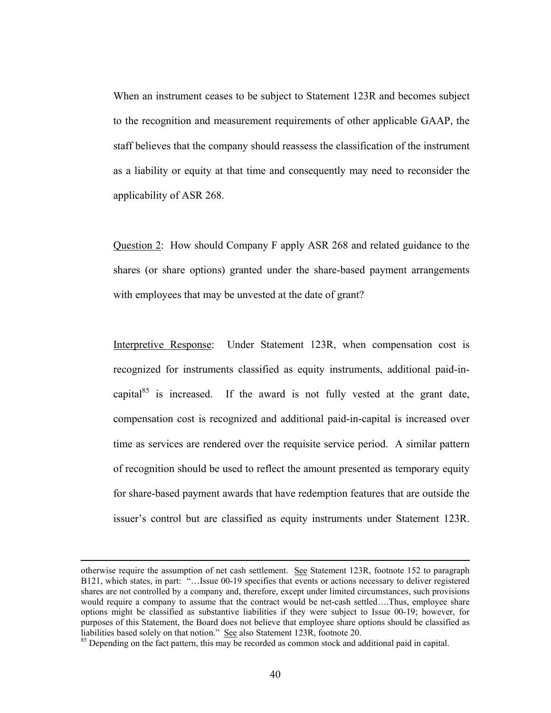When an instrument ceases to be subject to Statement 123R and becomes subject to the recognition and measurement requirements of other applicable GAAP, the staff believes that the company should reassess the classification of the instrument as a liability or equity at that time and consequently may need to reconsider the applicability of ASR 268.

Question 2: How should Company F apply ASR 268 and related guidance to the shares (or share options) granted under the share-based payment arrangements with employees that may be unvested at the date of grant?

Interpretive Response:Under Statement 123R, when compensation cost is recognized for instruments classified as equity instruments, additional paid-incapital $85$  is increased. If the award is not fully vested at the grant date, compensation cost is recognized and additional paid-in-capital is increased over time as services are rendered over the requisite service period. A similar pattern of recognition should be used to reflect the amount presented as temporary equity for share-based payment awards that have redemption features that are outside the issuer's control but are classified as equity instruments under Statement 123R.

otherwise require the assumption of net cash settlement. See Statement 123R, footnote 152 to paragraph B121, which states, in part: "…Issue 00-19 specifies that events or actions necessary to deliver registered shares are not controlled by a company and, therefore, except under limited circumstances, such provisions would require a company to assume that the contract would be net-cash settled….Thus, employee share options might be classified as substantive liabilities if they were subject to Issue 00-19; however, for purposes of this Statement, the Board does not believe that employee share options should be classified as liabilities based solely on that notion." <u>See</u> also Statement 123R, footnote 20.<br><sup>85</sup> Depending on the fact pattern, this may be recorded as common stock and additional paid in capital.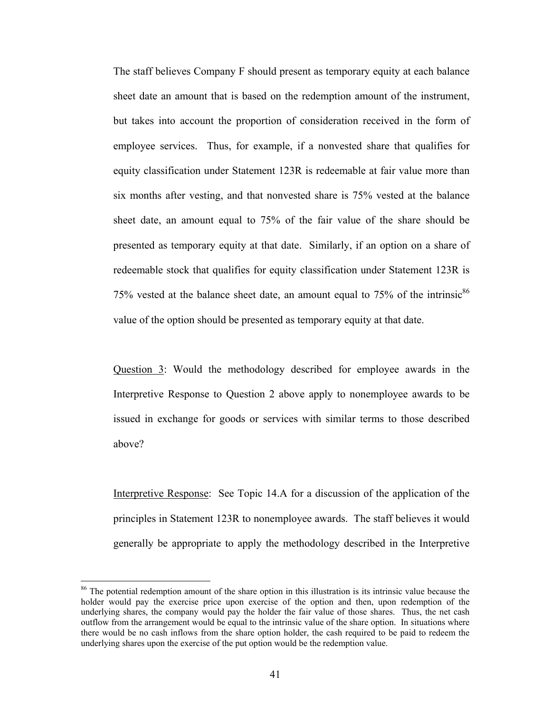The staff believes Company F should present as temporary equity at each balance sheet date an amount that is based on the redemption amount of the instrument, but takes into account the proportion of consideration received in the form of employee services. Thus, for example, if a nonvested share that qualifies for equity classification under Statement 123R is redeemable at fair value more than six months after vesting, and that nonvested share is 75% vested at the balance sheet date, an amount equal to 75% of the fair value of the share should be presented as temporary equity at that date. Similarly, if an option on a share of redeemable stock that qualifies for equity classification under Statement 123R is 75% vested at the balance sheet date, an amount equal to 75% of the intrinsic<sup>86</sup> value of the option should be presented as temporary equity at that date.

Question 3: Would the methodology described for employee awards in the Interpretive Response to Question 2 above apply to nonemployee awards to be issued in exchange for goods or services with similar terms to those described above?

Interpretive Response: See Topic 14.A for a discussion of the application of the principles in Statement 123R to nonemployee awards. The staff believes it would generally be appropriate to apply the methodology described in the Interpretive

<sup>&</sup>lt;sup>86</sup> The potential redemption amount of the share option in this illustration is its intrinsic value because the holder would pay the exercise price upon exercise of the option and then, upon redemption of the underlying shares, the company would pay the holder the fair value of those shares. Thus, the net cash outflow from the arrangement would be equal to the intrinsic value of the share option. In situations where there would be no cash inflows from the share option holder, the cash required to be paid to redeem the underlying shares upon the exercise of the put option would be the redemption value.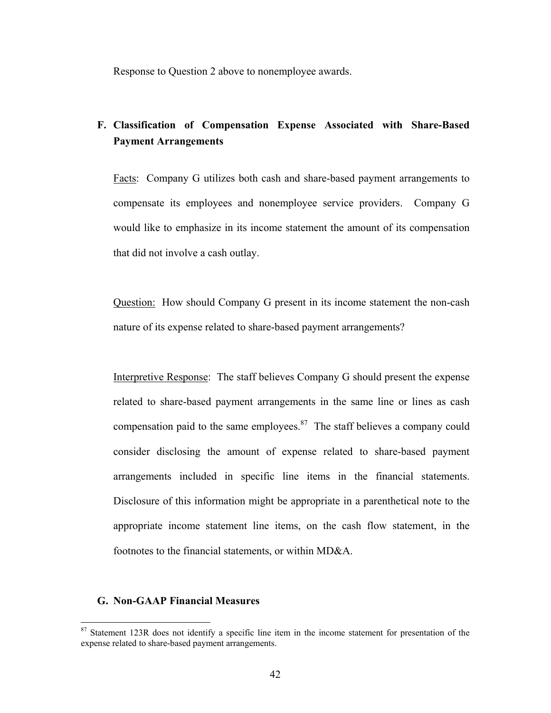Response to Question 2 above to nonemployee awards.

## **F. Classification of Compensation Expense Associated with Share-Based Payment Arrangements**

Facts: Company G utilizes both cash and share-based payment arrangements to compensate its employees and nonemployee service providers. Company G would like to emphasize in its income statement the amount of its compensation that did not involve a cash outlay.

Question: How should Company G present in its income statement the non-cash nature of its expense related to share-based payment arrangements?

Interpretive Response: The staff believes Company G should present the expense related to share-based payment arrangements in the same line or lines as cash compensation paid to the same employees. $87$  The staff believes a company could consider disclosing the amount of expense related to share-based payment arrangements included in specific line items in the financial statements. Disclosure of this information might be appropriate in a parenthetical note to the appropriate income statement line items, on the cash flow statement, in the footnotes to the financial statements, or within MD&A.

## **G. Non-GAAP Financial Measures**

 $87$  Statement 123R does not identify a specific line item in the income statement for presentation of the expense related to share-based payment arrangements.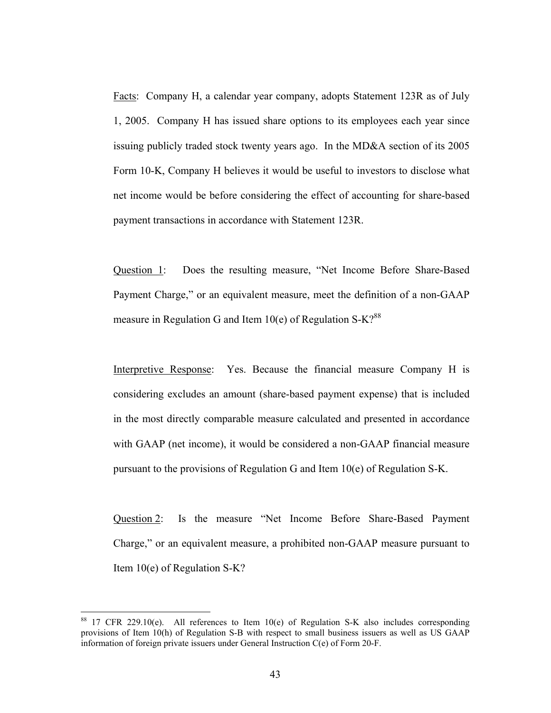Facts: Company H, a calendar year company, adopts Statement 123R as of July 1, 2005. Company H has issued share options to its employees each year since issuing publicly traded stock twenty years ago. In the MD&A section of its 2005 Form 10-K, Company H believes it would be useful to investors to disclose what net income would be before considering the effect of accounting for share-based payment transactions in accordance with Statement 123R.

Question 1: Does the resulting measure, "Net Income Before Share-Based Payment Charge," or an equivalent measure, meet the definition of a non-GAAP measure in Regulation G and Item  $10(e)$  of Regulation S-K?<sup>88</sup>

Interpretive Response: Yes. Because the financial measure Company H is considering excludes an amount (share-based payment expense) that is included in the most directly comparable measure calculated and presented in accordance with GAAP (net income), it would be considered a non-GAAP financial measure pursuant to the provisions of Regulation G and Item 10(e) of Regulation S-K.

Question 2: Is the measure "Net Income Before Share-Based Payment Charge," or an equivalent measure, a prohibited non-GAAP measure pursuant to Item 10(e) of Regulation S-K?

<sup>&</sup>lt;sup>88</sup> 17 CFR 229.10(e). All references to Item 10(e) of Regulation S-K also includes corresponding provisions of Item 10(h) of Regulation S-B with respect to small business issuers as well as US GAAP information of foreign private issuers under General Instruction C(e) of Form 20-F.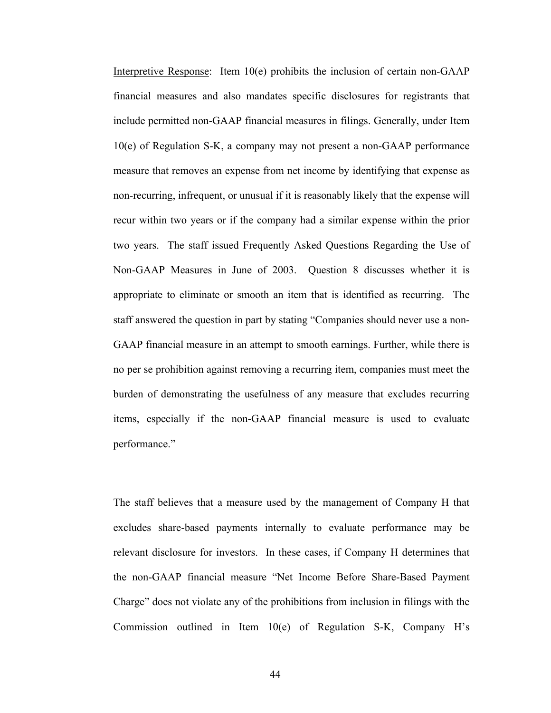Interpretive Response: Item 10(e) prohibits the inclusion of certain non-GAAP financial measures and also mandates specific disclosures for registrants that include permitted non-GAAP financial measures in filings. Generally, under Item 10(e) of Regulation S-K, a company may not present a non-GAAP performance measure that removes an expense from net income by identifying that expense as non-recurring, infrequent, or unusual if it is reasonably likely that the expense will recur within two years or if the company had a similar expense within the prior two years. The staff issued Frequently Asked Questions Regarding the Use of Non-GAAP Measures in June of 2003. Question 8 discusses whether it is appropriate to eliminate or smooth an item that is identified as recurring. The staff answered the question in part by stating "Companies should never use a non-GAAP financial measure in an attempt to smooth earnings. Further, while there is no per se prohibition against removing a recurring item, companies must meet the burden of demonstrating the usefulness of any measure that excludes recurring items, especially if the non-GAAP financial measure is used to evaluate performance."

The staff believes that a measure used by the management of Company H that excludes share-based payments internally to evaluate performance may be relevant disclosure for investors. In these cases, if Company H determines that the non-GAAP financial measure "Net Income Before Share-Based Payment Charge" does not violate any of the prohibitions from inclusion in filings with the Commission outlined in Item 10(e) of Regulation S-K, Company H's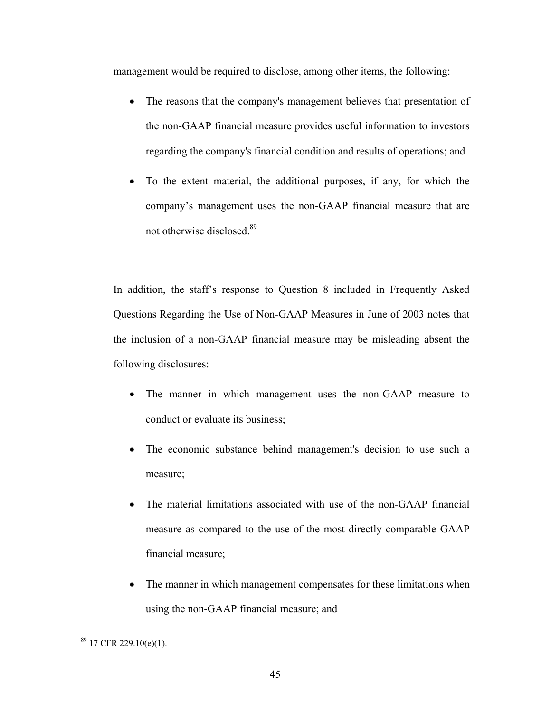management would be required to disclose, among other items, the following:

- The reasons that the company's management believes that presentation of the non-GAAP financial measure provides useful information to investors regarding the company's financial condition and results of operations; and
- To the extent material, the additional purposes, if any, for which the company's management uses the non-GAAP financial measure that are not otherwise disclosed.89

In addition, the staff's response to Question 8 included in Frequently Asked Questions Regarding the Use of Non-GAAP Measures in June of 2003 notes that the inclusion of a non-GAAP financial measure may be misleading absent the following disclosures:

- The manner in which management uses the non-GAAP measure to conduct or evaluate its business;
- The economic substance behind management's decision to use such a measure;
- The material limitations associated with use of the non-GAAP financial measure as compared to the use of the most directly comparable GAAP financial measure;
- The manner in which management compensates for these limitations when using the non-GAAP financial measure; and

 $\overline{a}$  $89$  17 CFR 229.10(e)(1).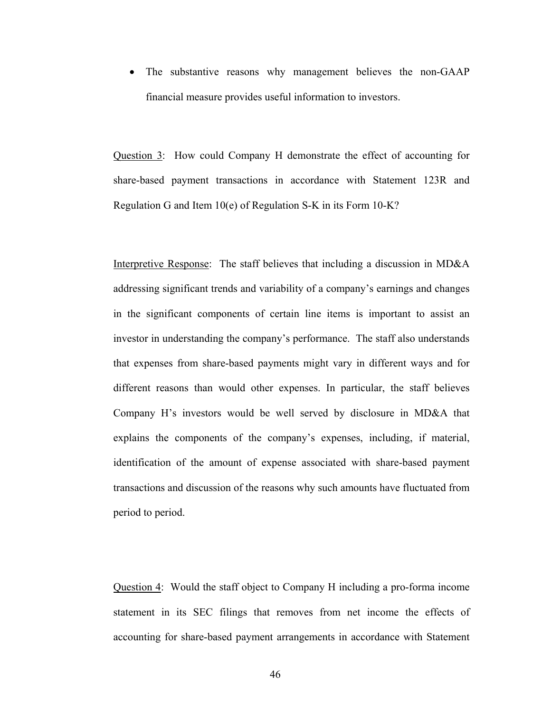• The substantive reasons why management believes the non-GAAP financial measure provides useful information to investors.

Question 3:How could Company H demonstrate the effect of accounting for share-based payment transactions in accordance with Statement 123R and Regulation G and Item 10(e) of Regulation S-K in its Form 10-K?

Interpretive Response: The staff believes that including a discussion in MD&A addressing significant trends and variability of a company's earnings and changes in the significant components of certain line items is important to assist an investor in understanding the company's performance. The staff also understands that expenses from share-based payments might vary in different ways and for different reasons than would other expenses. In particular, the staff believes Company H's investors would be well served by disclosure in MD&A that explains the components of the company's expenses, including, if material, identification of the amount of expense associated with share-based payment transactions and discussion of the reasons why such amounts have fluctuated from period to period.

Question 4: Would the staff object to Company H including a pro-forma income statement in its SEC filings that removes from net income the effects of accounting for share-based payment arrangements in accordance with Statement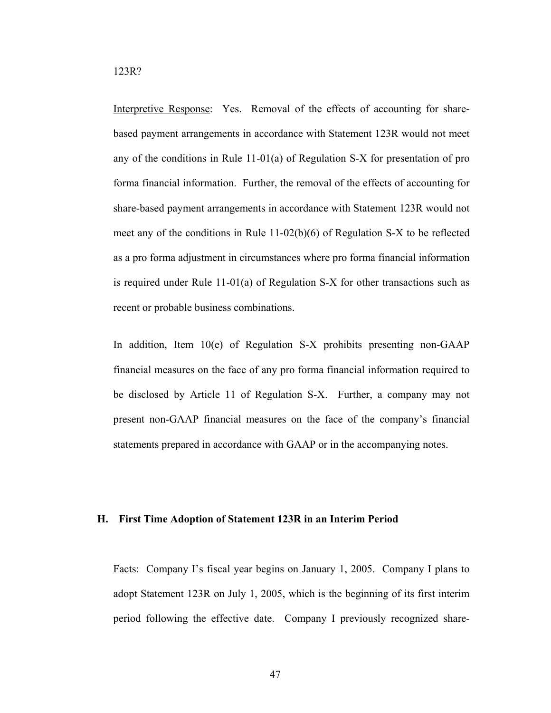Interpretive Response: Yes. Removal of the effects of accounting for sharebased payment arrangements in accordance with Statement 123R would not meet any of the conditions in Rule 11-01(a) of Regulation S-X for presentation of pro forma financial information. Further, the removal of the effects of accounting for share-based payment arrangements in accordance with Statement 123R would not meet any of the conditions in Rule 11-02(b)(6) of Regulation S-X to be reflected as a pro forma adjustment in circumstances where pro forma financial information is required under Rule 11-01(a) of Regulation S-X for other transactions such as recent or probable business combinations.

In addition, Item 10(e) of Regulation S-X prohibits presenting non-GAAP financial measures on the face of any pro forma financial information required to be disclosed by Article 11 of Regulation S-X. Further, a company may not present non-GAAP financial measures on the face of the company's financial statements prepared in accordance with GAAP or in the accompanying notes.

## **H. First Time Adoption of Statement 123R in an Interim Period**

Facts: Company I's fiscal year begins on January 1, 2005. Company I plans to adopt Statement 123R on July 1, 2005, which is the beginning of its first interim period following the effective date. Company I previously recognized share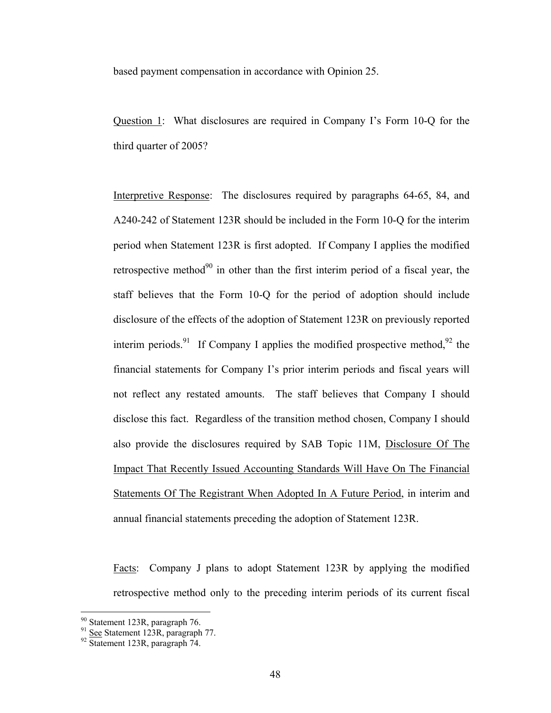based payment compensation in accordance with Opinion 25.

Question 1: What disclosures are required in Company I's Form 10-Q for the third quarter of 2005?

Interpretive Response: The disclosures required by paragraphs 64-65, 84, and A240-242 of Statement 123R should be included in the Form 10-Q for the interim period when Statement 123R is first adopted. If Company I applies the modified retrospective method $90$  in other than the first interim period of a fiscal year, the staff believes that the Form 10-Q for the period of adoption should include disclosure of the effects of the adoption of Statement 123R on previously reported interim periods.<sup>91</sup> If Company I applies the modified prospective method,<sup>92</sup> the financial statements for Company I's prior interim periods and fiscal years will not reflect any restated amounts. The staff believes that Company I should disclose this fact. Regardless of the transition method chosen, Company I should also provide the disclosures required by SAB Topic 11M, Disclosure Of The Impact That Recently Issued Accounting Standards Will Have On The Financial Statements Of The Registrant When Adopted In A Future Period, in interim and annual financial statements preceding the adoption of Statement 123R.

Facts: Company J plans to adopt Statement 123R by applying the modified retrospective method only to the preceding interim periods of its current fiscal

<sup>&</sup>lt;sup>90</sup> Statement 123R, paragraph 76.

 $\frac{91}{92}$  See Statement 123R, paragraph 77.<br><sup>92</sup> Statement 123R, paragraph 74.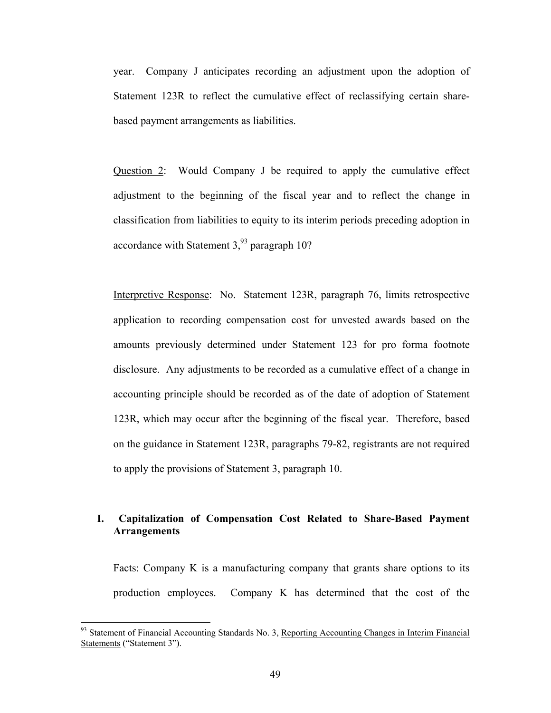year. Company J anticipates recording an adjustment upon the adoption of Statement 123R to reflect the cumulative effect of reclassifying certain sharebased payment arrangements as liabilities.

Question 2: Would Company J be required to apply the cumulative effect adjustment to the beginning of the fiscal year and to reflect the change in classification from liabilities to equity to its interim periods preceding adoption in accordance with Statement  $3^{93}$  paragraph 10?

Interpretive Response: No. Statement 123R, paragraph 76, limits retrospective application to recording compensation cost for unvested awards based on the amounts previously determined under Statement 123 for pro forma footnote disclosure. Any adjustments to be recorded as a cumulative effect of a change in accounting principle should be recorded as of the date of adoption of Statement 123R, which may occur after the beginning of the fiscal year. Therefore, based on the guidance in Statement 123R, paragraphs 79-82, registrants are not required to apply the provisions of Statement 3, paragraph 10.

## **I. Capitalization of Compensation Cost Related to Share-Based Payment Arrangements**

Facts: Company K is a manufacturing company that grants share options to its production employees. Company K has determined that the cost of the

<sup>&</sup>lt;sup>93</sup> Statement of Financial Accounting Standards No. 3, Reporting Accounting Changes in Interim Financial Statements ("Statement 3").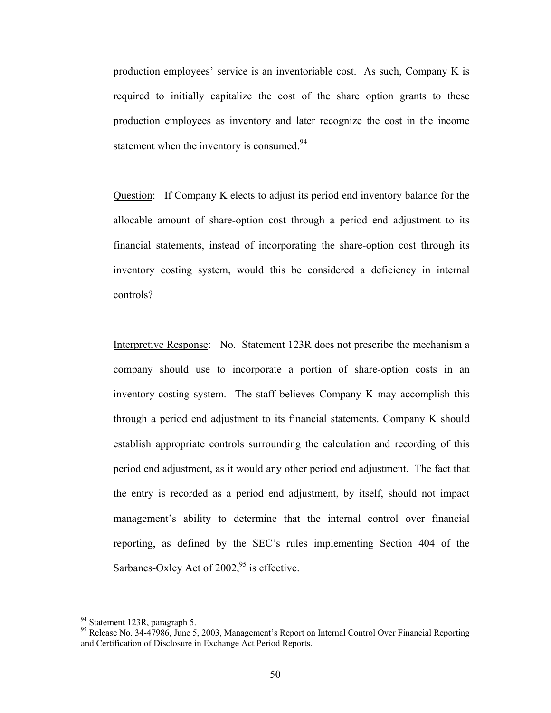production employees' service is an inventoriable cost. As such, Company K is required to initially capitalize the cost of the share option grants to these production employees as inventory and later recognize the cost in the income statement when the inventory is consumed.<sup>94</sup>

Question: If Company K elects to adjust its period end inventory balance for the allocable amount of share-option cost through a period end adjustment to its financial statements, instead of incorporating the share-option cost through its inventory costing system, would this be considered a deficiency in internal controls?

Interpretive Response: No. Statement 123R does not prescribe the mechanism a company should use to incorporate a portion of share-option costs in an inventory-costing system. The staff believes Company K may accomplish this through a period end adjustment to its financial statements. Company K should establish appropriate controls surrounding the calculation and recording of this period end adjustment, as it would any other period end adjustment. The fact that the entry is recorded as a period end adjustment, by itself, should not impact management's ability to determine that the internal control over financial reporting, as defined by the SEC's rules implementing Section 404 of the Sarbanes-Oxley Act of  $2002<sup>95</sup>$  is effective.

<u>.</u>

<sup>&</sup>lt;sup>94</sup> Statement 123R, paragraph 5.

<sup>&</sup>lt;sup>95</sup> Release No. 34-47986, June 5, 2003, <u>Management's Report on Internal Control Over Financial Reporting</u> and Certification of Disclosure in Exchange Act Period Reports.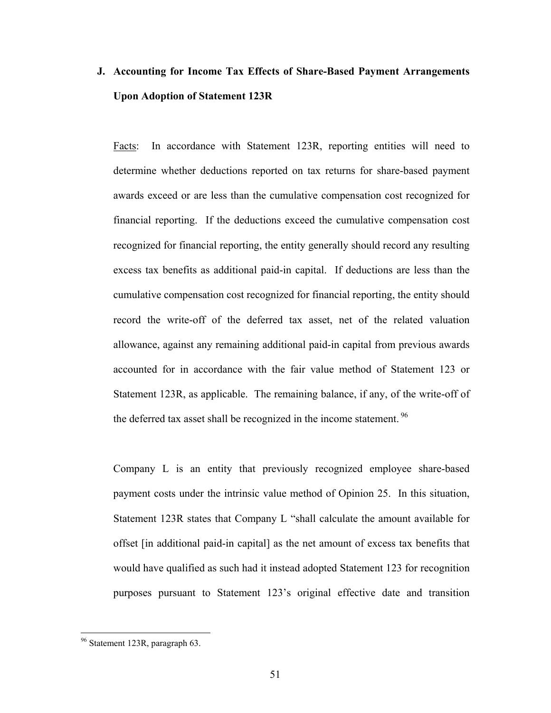# **J. Accounting for Income Tax Effects of Share-Based Payment Arrangements Upon Adoption of Statement 123R**

Facts: In accordance with Statement 123R, reporting entities will need to determine whether deductions reported on tax returns for share-based payment awards exceed or are less than the cumulative compensation cost recognized for financial reporting. If the deductions exceed the cumulative compensation cost recognized for financial reporting, the entity generally should record any resulting excess tax benefits as additional paid-in capital. If deductions are less than the cumulative compensation cost recognized for financial reporting, the entity should record the write-off of the deferred tax asset, net of the related valuation allowance, against any remaining additional paid-in capital from previous awards accounted for in accordance with the fair value method of Statement 123 or Statement 123R, as applicable. The remaining balance, if any, of the write-off of the deferred tax asset shall be recognized in the income statement.<sup>96</sup>

Company L is an entity that previously recognized employee share-based payment costs under the intrinsic value method of Opinion 25. In this situation, Statement 123R states that Company L "shall calculate the amount available for offset [in additional paid-in capital] as the net amount of excess tax benefits that would have qualified as such had it instead adopted Statement 123 for recognition purposes pursuant to Statement 123's original effective date and transition

<sup>&</sup>lt;sup>96</sup> Statement 123R, paragraph 63.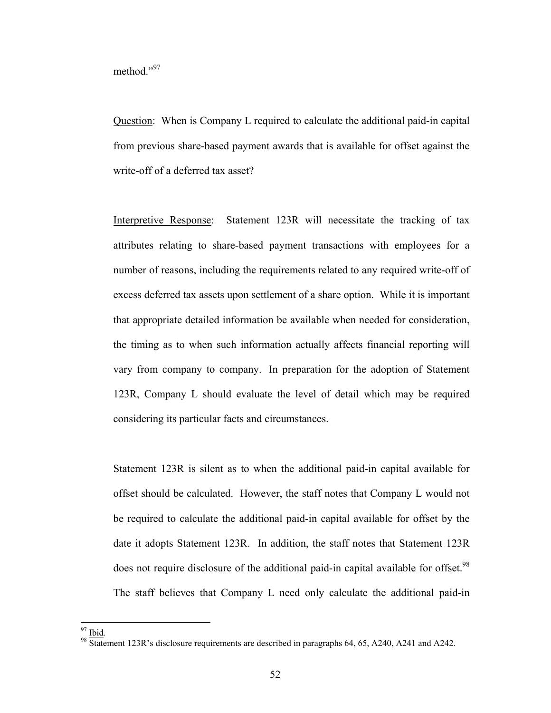method."97

Question:When is Company L required to calculate the additional paid-in capital from previous share-based payment awards that is available for offset against the write-off of a deferred tax asset?

Interpretive Response: Statement 123R will necessitate the tracking of tax attributes relating to share-based payment transactions with employees for a number of reasons, including the requirements related to any required write-off of excess deferred tax assets upon settlement of a share option. While it is important that appropriate detailed information be available when needed for consideration, the timing as to when such information actually affects financial reporting will vary from company to company. In preparation for the adoption of Statement 123R, Company L should evaluate the level of detail which may be required considering its particular facts and circumstances.

Statement 123R is silent as to when the additional paid-in capital available for offset should be calculated. However, the staff notes that Company L would not be required to calculate the additional paid-in capital available for offset by the date it adopts Statement 123R. In addition, the staff notes that Statement 123R does not require disclosure of the additional paid-in capital available for offset.<sup>98</sup> The staff believes that Company L need only calculate the additional paid-in

 $97$  Ibid.

<sup>&</sup>lt;sup>98</sup> Statement 123R's disclosure requirements are described in paragraphs 64, 65, A240, A241 and A242.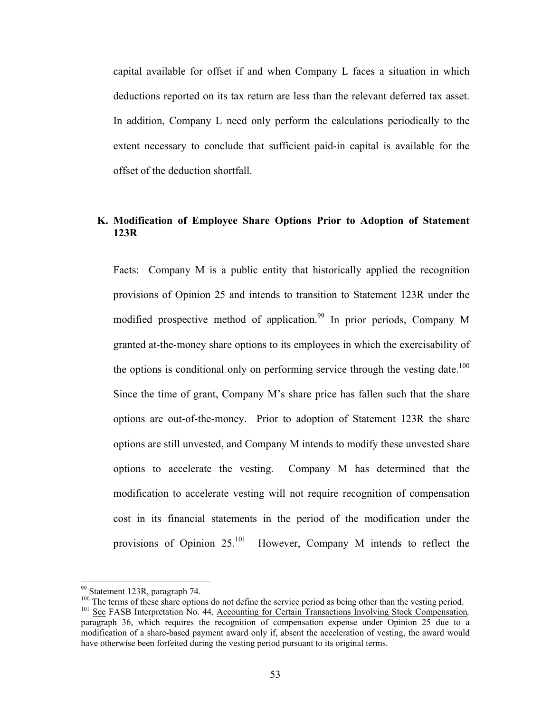capital available for offset if and when Company L faces a situation in which deductions reported on its tax return are less than the relevant deferred tax asset. In addition, Company L need only perform the calculations periodically to the extent necessary to conclude that sufficient paid-in capital is available for the offset of the deduction shortfall.

## **K. Modification of Employee Share Options Prior to Adoption of Statement 123R**

Facts: Company M is a public entity that historically applied the recognition provisions of Opinion 25 and intends to transition to Statement 123R under the modified prospective method of application.<sup>99</sup> In prior periods, Company M granted at-the-money share options to its employees in which the exercisability of the options is conditional only on performing service through the vesting date.<sup>100</sup> Since the time of grant, Company M's share price has fallen such that the share options are out-of-the-money. Prior to adoption of Statement 123R the share options are still unvested, and Company M intends to modify these unvested share options to accelerate the vesting. Company M has determined that the modification to accelerate vesting will not require recognition of compensation cost in its financial statements in the period of the modification under the provisions of Opinion 25.<sup>101</sup> However, Company M intends to reflect the

<sup>&</sup>lt;sup>99</sup> Statement 123R, paragraph 74.

<sup>&</sup>lt;sup>100</sup> The terms of these share options do not define the service period as being other than the vesting period.<br><sup>101</sup> See FASB Interpretation No. 44, Accounting for Certain Transactions Involving Stock Compensation,

paragraph 36, which requires the recognition of compensation expense under Opinion 25 due to a modification of a share-based payment award only if, absent the acceleration of vesting, the award would have otherwise been forfeited during the vesting period pursuant to its original terms.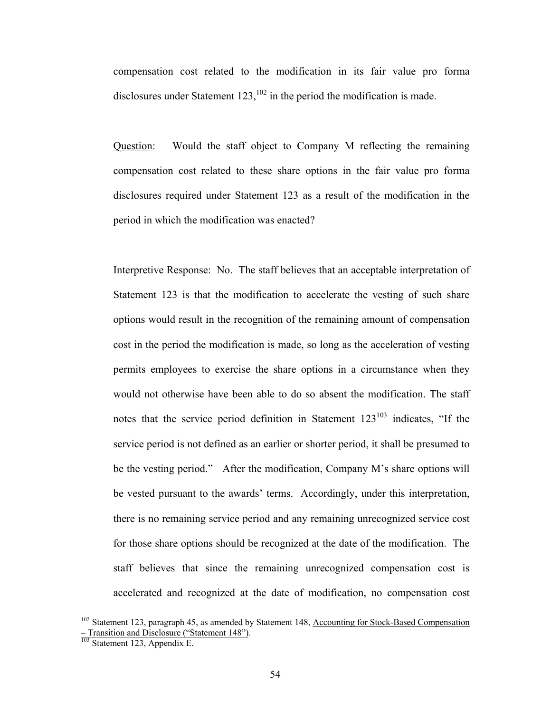compensation cost related to the modification in its fair value pro forma disclosures under Statement  $123$ ,<sup>102</sup> in the period the modification is made.

Question: Would the staff object to Company M reflecting the remaining compensation cost related to these share options in the fair value pro forma disclosures required under Statement 123 as a result of the modification in the period in which the modification was enacted?

Interpretive Response: No. The staff believes that an acceptable interpretation of Statement 123 is that the modification to accelerate the vesting of such share options would result in the recognition of the remaining amount of compensation cost in the period the modification is made, so long as the acceleration of vesting permits employees to exercise the share options in a circumstance when they would not otherwise have been able to do so absent the modification. The staff notes that the service period definition in Statement  $123^{103}$  indicates, "If the service period is not defined as an earlier or shorter period, it shall be presumed to be the vesting period." After the modification, Company M's share options will be vested pursuant to the awards' terms. Accordingly, under this interpretation, there is no remaining service period and any remaining unrecognized service cost for those share options should be recognized at the date of the modification. The staff believes that since the remaining unrecognized compensation cost is accelerated and recognized at the date of modification, no compensation cost

<sup>&</sup>lt;sup>102</sup> Statement 123, paragraph 45, as amended by Statement 148, Accounting for Stock-Based Compensation – Transition and Disclosure ("Statement 148")*.* 103 Statement 123, Appendix E.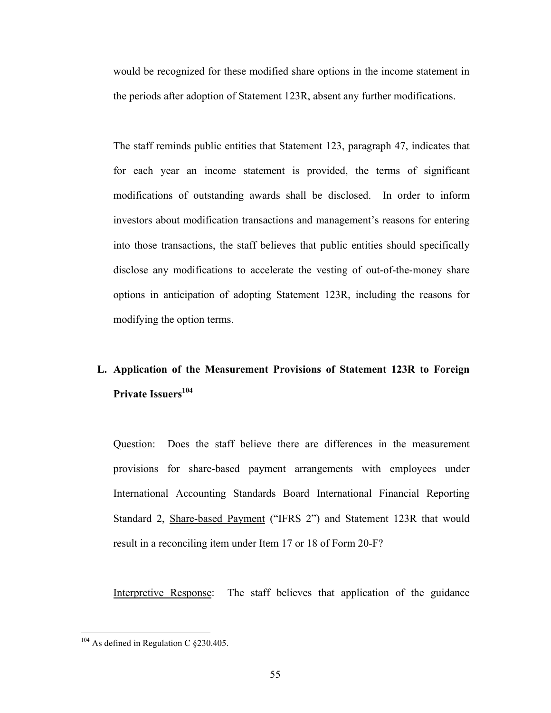would be recognized for these modified share options in the income statement in the periods after adoption of Statement 123R, absent any further modifications.

The staff reminds public entities that Statement 123, paragraph 47, indicates that for each year an income statement is provided, the terms of significant modifications of outstanding awards shall be disclosed. In order to inform investors about modification transactions and management's reasons for entering into those transactions, the staff believes that public entities should specifically disclose any modifications to accelerate the vesting of out-of-the-money share options in anticipation of adopting Statement 123R, including the reasons for modifying the option terms.

# **L. Application of the Measurement Provisions of Statement 123R to Foreign Private Issuers**<sup>104</sup>

Question:Does the staff believe there are differences in the measurement provisions for share-based payment arrangements with employees under International Accounting Standards Board International Financial Reporting Standard 2, Share-based Payment ("IFRS 2") and Statement 123R that would result in a reconciling item under Item 17 or 18 of Form 20-F?

Interpretive Response:The staff believes that application of the guidance

 $104$  As defined in Regulation C §230.405.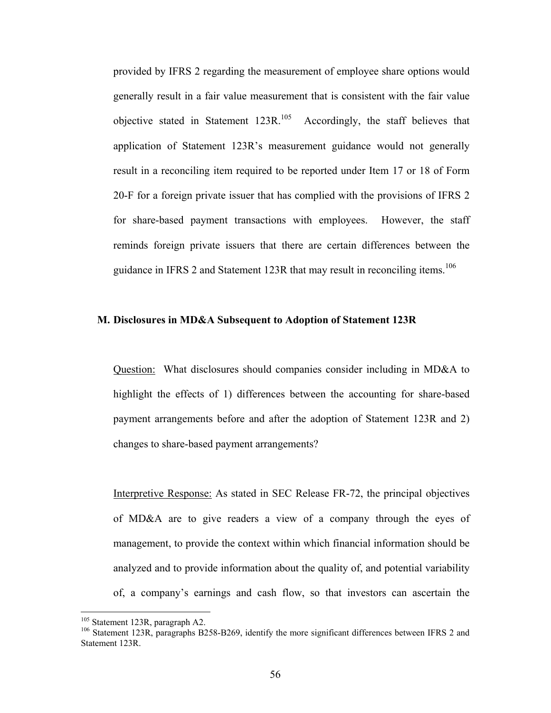provided by IFRS 2 regarding the measurement of employee share options would generally result in a fair value measurement that is consistent with the fair value objective stated in Statement  $123R$ <sup>105</sup> Accordingly, the staff believes that application of Statement 123R's measurement guidance would not generally result in a reconciling item required to be reported under Item 17 or 18 of Form 20-F for a foreign private issuer that has complied with the provisions of IFRS 2 for share-based payment transactions with employees. However, the staff reminds foreign private issuers that there are certain differences between the guidance in IFRS 2 and Statement 123R that may result in reconciling items.<sup>106</sup>

#### **M. Disclosures in MD&A Subsequent to Adoption of Statement 123R**

Question: What disclosures should companies consider including in MD&A to highlight the effects of 1) differences between the accounting for share-based payment arrangements before and after the adoption of Statement 123R and 2) changes to share-based payment arrangements?

Interpretive Response: As stated in SEC Release FR-72, the principal objectives of MD&A are to give readers a view of a company through the eyes of management, to provide the context within which financial information should be analyzed and to provide information about the quality of, and potential variability of, a company's earnings and cash flow, so that investors can ascertain the

<u>.</u>

<sup>&</sup>lt;sup>105</sup> Statement 123R, paragraph A2.<br><sup>106</sup> Statement 123R, paragraphs B258-B269, identify the more significant differences between IFRS 2 and Statement 123R.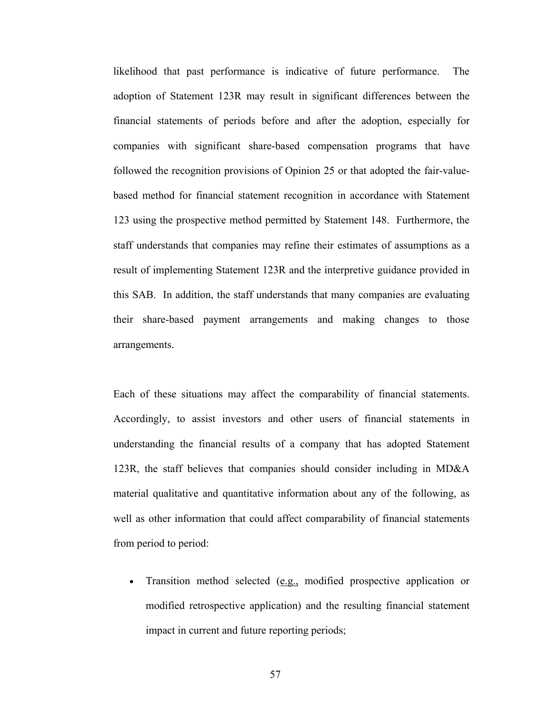likelihood that past performance is indicative of future performance. The adoption of Statement 123R may result in significant differences between the financial statements of periods before and after the adoption, especially for companies with significant share-based compensation programs that have followed the recognition provisions of Opinion 25 or that adopted the fair-valuebased method for financial statement recognition in accordance with Statement 123 using the prospective method permitted by Statement 148. Furthermore, the staff understands that companies may refine their estimates of assumptions as a result of implementing Statement 123R and the interpretive guidance provided in this SAB. In addition, the staff understands that many companies are evaluating their share-based payment arrangements and making changes to those arrangements.

Each of these situations may affect the comparability of financial statements. Accordingly, to assist investors and other users of financial statements in understanding the financial results of a company that has adopted Statement 123R, the staff believes that companies should consider including in MD&A material qualitative and quantitative information about any of the following, as well as other information that could affect comparability of financial statements from period to period:

• Transition method selected (e.g., modified prospective application or modified retrospective application) and the resulting financial statement impact in current and future reporting periods;

57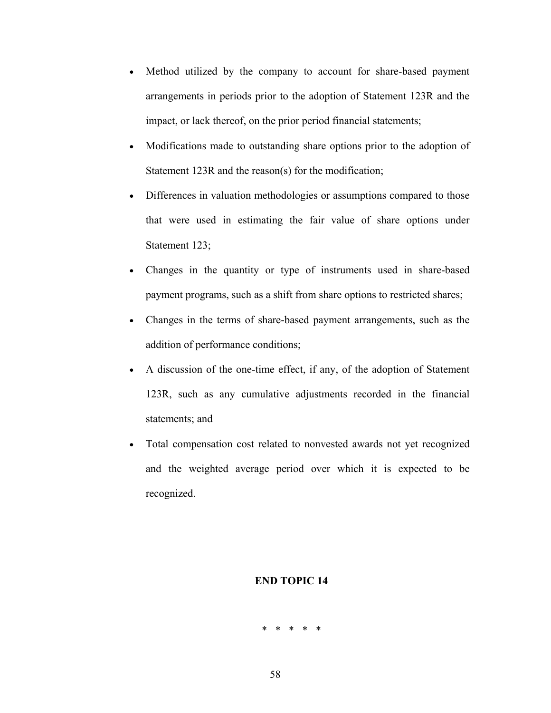- Method utilized by the company to account for share-based payment arrangements in periods prior to the adoption of Statement 123R and the impact, or lack thereof, on the prior period financial statements;
- Modifications made to outstanding share options prior to the adoption of Statement 123R and the reason(s) for the modification;
- Differences in valuation methodologies or assumptions compared to those that were used in estimating the fair value of share options under Statement 123;
- Changes in the quantity or type of instruments used in share-based payment programs, such as a shift from share options to restricted shares;
- Changes in the terms of share-based payment arrangements, such as the addition of performance conditions;
- A discussion of the one-time effect, if any, of the adoption of Statement 123R, such as any cumulative adjustments recorded in the financial statements; and
- Total compensation cost related to nonvested awards not yet recognized and the weighted average period over which it is expected to be recognized.

## **END TOPIC 14**

\* \* \* \* \*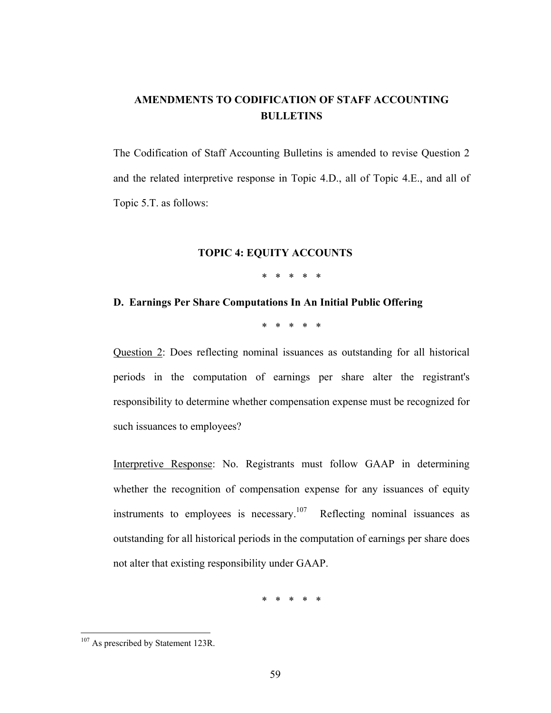## **AMENDMENTS TO CODIFICATION OF STAFF ACCOUNTING BULLETINS**

The Codification of Staff Accounting Bulletins is amended to revise Question 2 and the related interpretive response in Topic 4.D., all of Topic 4.E., and all of Topic 5.T. as follows:

## **TOPIC 4: EQUITY ACCOUNTS**

\* \* \* \* \*

## **D. Earnings Per Share Computations In An Initial Public Offering**

\* \* \* \* \*

Question 2: Does reflecting nominal issuances as outstanding for all historical periods in the computation of earnings per share alter the registrant's responsibility to determine whether compensation expense must be recognized for such issuances to employees?

Interpretive Response: No. Registrants must follow GAAP in determining whether the recognition of compensation expense for any issuances of equity instruments to employees is necessary.<sup>107</sup> Reflecting nominal issuances as outstanding for all historical periods in the computation of earnings per share does not alter that existing responsibility under GAAP.

\* \* \* \* \*

 $107$  As prescribed by Statement 123R.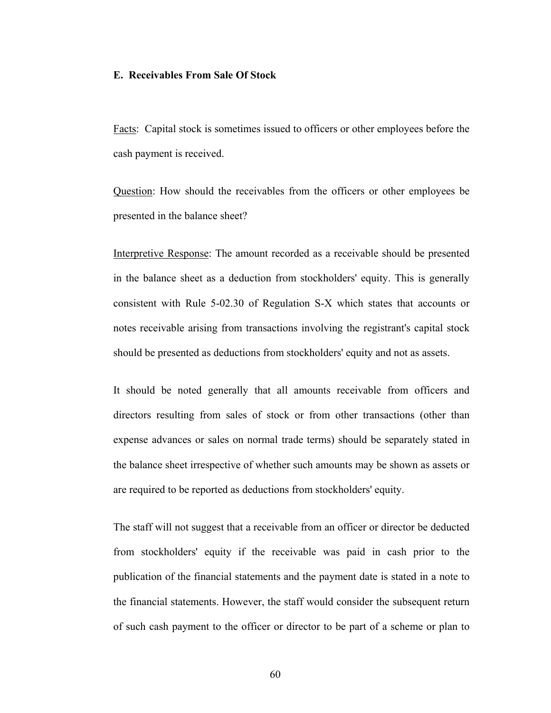#### **E. Receivables From Sale Of Stock**

Facts: Capital stock is sometimes issued to officers or other employees before the cash payment is received.

Question: How should the receivables from the officers or other employees be presented in the balance sheet?

Interpretive Response: The amount recorded as a receivable should be presented in the balance sheet as a deduction from stockholders' equity. This is generally consistent with Rule 5-02.30 of Regulation S-X which states that accounts or notes receivable arising from transactions involving the registrant's capital stock should be presented as deductions from stockholders' equity and not as assets.

It should be noted generally that all amounts receivable from officers and directors resulting from sales of stock or from other transactions (other than expense advances or sales on normal trade terms) should be separately stated in the balance sheet irrespective of whether such amounts may be shown as assets or are required to be reported as deductions from stockholders' equity.

The staff will not suggest that a receivable from an officer or director be deducted from stockholders' equity if the receivable was paid in cash prior to the publication of the financial statements and the payment date is stated in a note to the financial statements. However, the staff would consider the subsequent return of such cash payment to the officer or director to be part of a scheme or plan to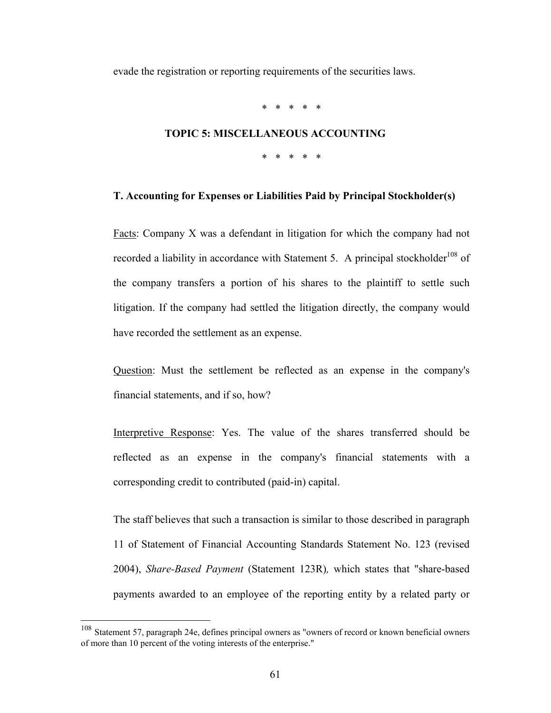evade the registration or reporting requirements of the securities laws.

\* \* \* \* \*

## **TOPIC 5: MISCELLANEOUS ACCOUNTING**

\* \* \* \* \*

#### **T. Accounting for Expenses or Liabilities Paid by Principal Stockholder(s)**

Facts: Company X was a defendant in litigation for which the company had not recorded a liability in accordance with Statement 5. A principal stockholder<sup>108</sup> of the company transfers a portion of his shares to the plaintiff to settle such litigation. If the company had settled the litigation directly, the company would have recorded the settlement as an expense.

Question: Must the settlement be reflected as an expense in the company's financial statements, and if so, how?

Interpretive Response: Yes. The value of the shares transferred should be reflected as an expense in the company's financial statements with a corresponding credit to contributed (paid-in) capital.

The staff believes that such a transaction is similar to those described in paragraph 11 of Statement of Financial Accounting Standards Statement No. 123 (revised 2004), *Share-Based Payment* (Statement 123R)*,* which states that "share-based payments awarded to an employee of the reporting entity by a related party or

1

<sup>&</sup>lt;sup>108</sup> Statement 57, paragraph 24e, defines principal owners as "owners of record or known beneficial owners of more than 10 percent of the voting interests of the enterprise."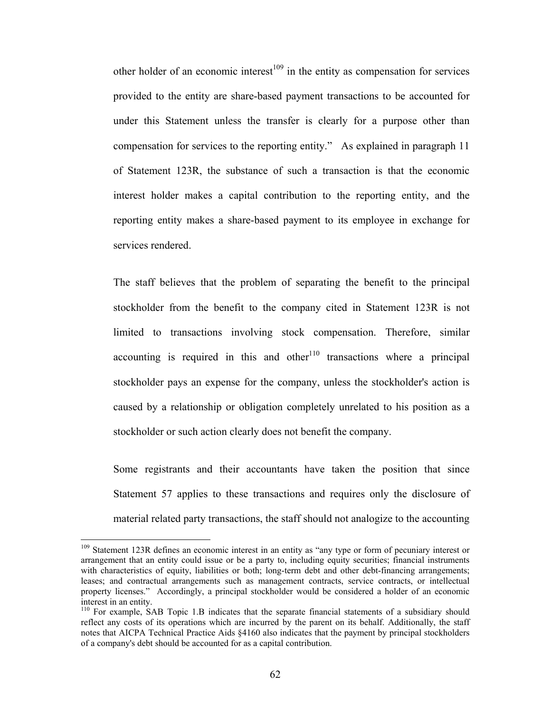other holder of an economic interest<sup>109</sup> in the entity as compensation for services provided to the entity are share-based payment transactions to be accounted for under this Statement unless the transfer is clearly for a purpose other than compensation for services to the reporting entity."As explained in paragraph 11 of Statement 123R, the substance of such a transaction is that the economic interest holder makes a capital contribution to the reporting entity, and the reporting entity makes a share-based payment to its employee in exchange for services rendered.

The staff believes that the problem of separating the benefit to the principal stockholder from the benefit to the company cited in Statement 123R is not limited to transactions involving stock compensation. Therefore, similar accounting is required in this and other<sup>110</sup> transactions where a principal stockholder pays an expense for the company, unless the stockholder's action is caused by a relationship or obligation completely unrelated to his position as a stockholder or such action clearly does not benefit the company.

Some registrants and their accountants have taken the position that since Statement 57 applies to these transactions and requires only the disclosure of material related party transactions, the staff should not analogize to the accounting

1

<sup>&</sup>lt;sup>109</sup> Statement 123R defines an economic interest in an entity as "any type or form of pecuniary interest or arrangement that an entity could issue or be a party to, including equity securities; financial instruments with characteristics of equity, liabilities or both; long-term debt and other debt-financing arrangements; leases; and contractual arrangements such as management contracts, service contracts, or intellectual property licenses." Accordingly, a principal stockholder would be considered a holder of an economic interest in an entity.

<sup>&</sup>lt;sup>110</sup> For example, SAB Topic 1.B indicates that the separate financial statements of a subsidiary should reflect any costs of its operations which are incurred by the parent on its behalf. Additionally, the staff notes that AICPA Technical Practice Aids §4160 also indicates that the payment by principal stockholders of a company's debt should be accounted for as a capital contribution.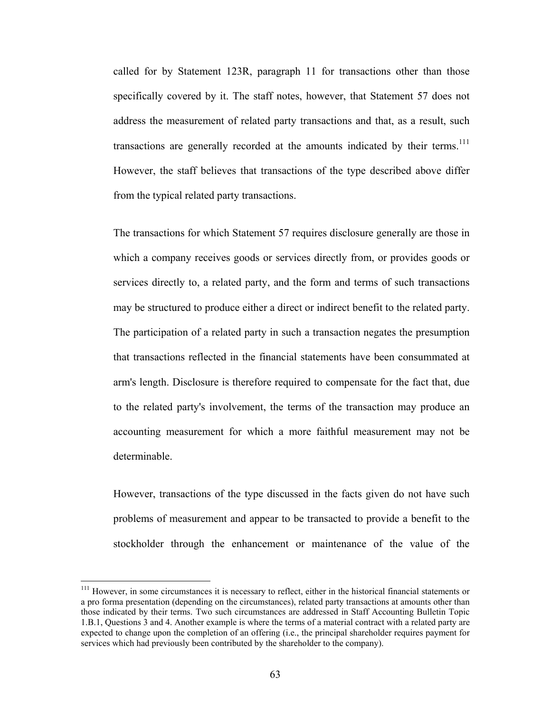called for by Statement 123R, paragraph 11 for transactions other than those specifically covered by it. The staff notes, however, that Statement 57 does not address the measurement of related party transactions and that, as a result, such transactions are generally recorded at the amounts indicated by their terms.<sup>111</sup> However, the staff believes that transactions of the type described above differ from the typical related party transactions.

The transactions for which Statement 57 requires disclosure generally are those in which a company receives goods or services directly from, or provides goods or services directly to, a related party, and the form and terms of such transactions may be structured to produce either a direct or indirect benefit to the related party. The participation of a related party in such a transaction negates the presumption that transactions reflected in the financial statements have been consummated at arm's length. Disclosure is therefore required to compensate for the fact that, due to the related party's involvement, the terms of the transaction may produce an accounting measurement for which a more faithful measurement may not be determinable.

However, transactions of the type discussed in the facts given do not have such problems of measurement and appear to be transacted to provide a benefit to the stockholder through the enhancement or maintenance of the value of the

<u>.</u>

<sup>&</sup>lt;sup>111</sup> However, in some circumstances it is necessary to reflect, either in the historical financial statements or a pro forma presentation (depending on the circumstances), related party transactions at amounts other than those indicated by their terms. Two such circumstances are addressed in Staff Accounting Bulletin Topic 1.B.1, Questions 3 and 4. Another example is where the terms of a material contract with a related party are expected to change upon the completion of an offering (i.e., the principal shareholder requires payment for services which had previously been contributed by the shareholder to the company).